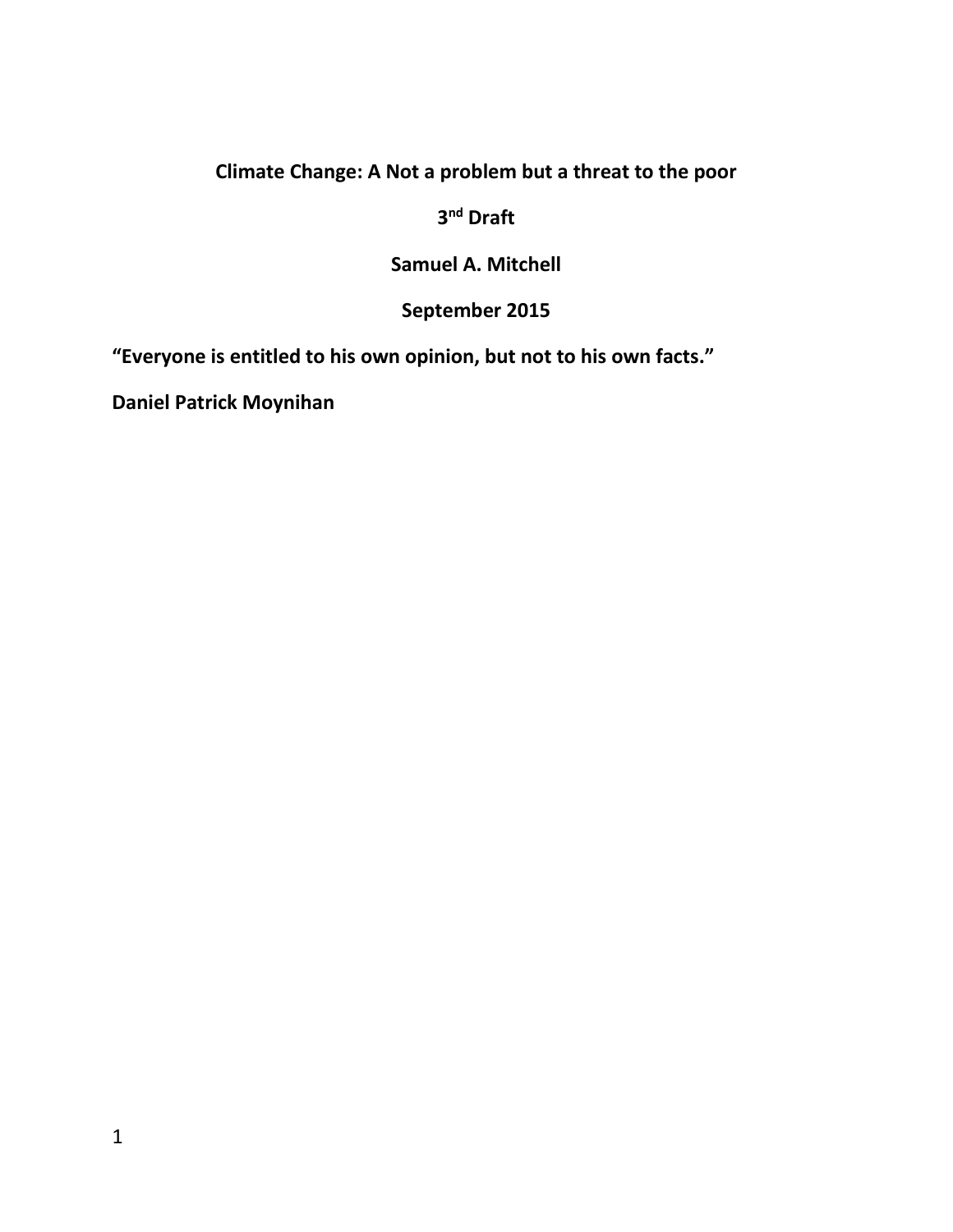#### **Climate Change: A Not a problem but a threat to the poor**

**3 nd Draft**

**Samuel A. Mitchell** 

**September 2015**

**"Everyone is entitled to his own opinion, but not to his own facts."**

**Daniel Patrick Moynihan**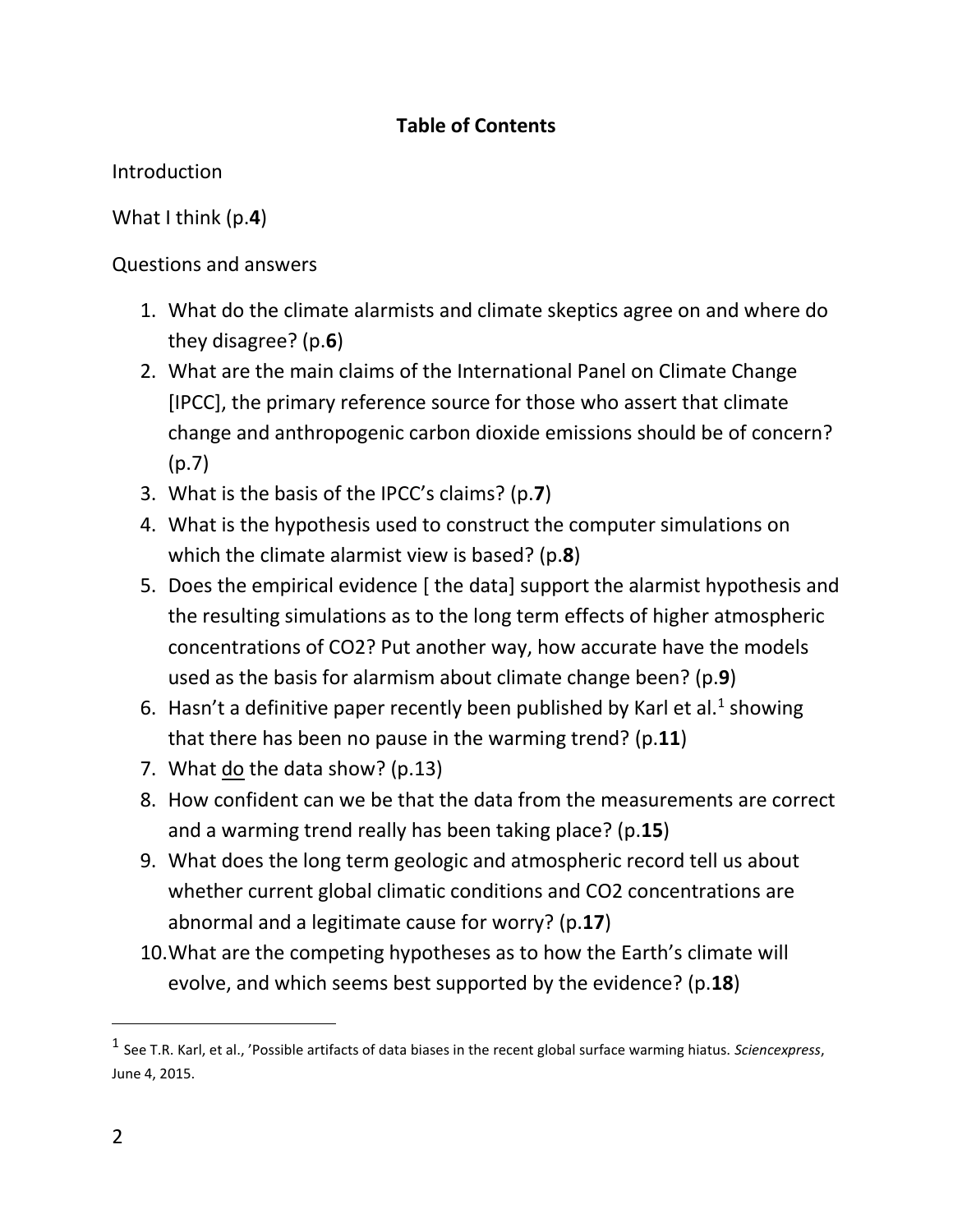#### **Table of Contents**

Introduction

What I think (p.**4**)

Questions and answers

- 1. What do the climate alarmists and climate skeptics agree on and where do they disagree? (p.**6**)
- 2. What are the main claims of the International Panel on Climate Change [IPCC], the primary reference source for those who assert that climate change and anthropogenic carbon dioxide emissions should be of concern? (p.7)
- 3. What is the basis of the IPCC's claims? (p.**7**)
- 4. What is the hypothesis used to construct the computer simulations on which the climate alarmist view is based? (p.**8**)
- 5. Does the empirical evidence [ the data] support the alarmist hypothesis and the resulting simulations as to the long term effects of higher atmospheric concentrations of CO2? Put another way, how accurate have the models used as the basis for alarmism about climate change been? (p.**9**)
- 6. Hasn't a definitive paper recently been published by Karl et al.<sup>1</sup> showing that there has been no pause in the warming trend? (p.**11**)
- 7. What do the data show? (p.13)
- 8. How confident can we be that the data from the measurements are correct and a warming trend really has been taking place? (p.**15**)
- 9. What does the long term geologic and atmospheric record tell us about whether current global climatic conditions and CO2 concentrations are abnormal and a legitimate cause for worry? (p.**17**)
- 10.What are the competing hypotheses as to how the Earth's climate will evolve, and which seems best supported by the evidence? (p.**18**)

<sup>1</sup> See T.R. Karl, et al., 'Possible artifacts of data biases in the recent global surface warming hiatus. *Sciencexpress*, June 4, 2015.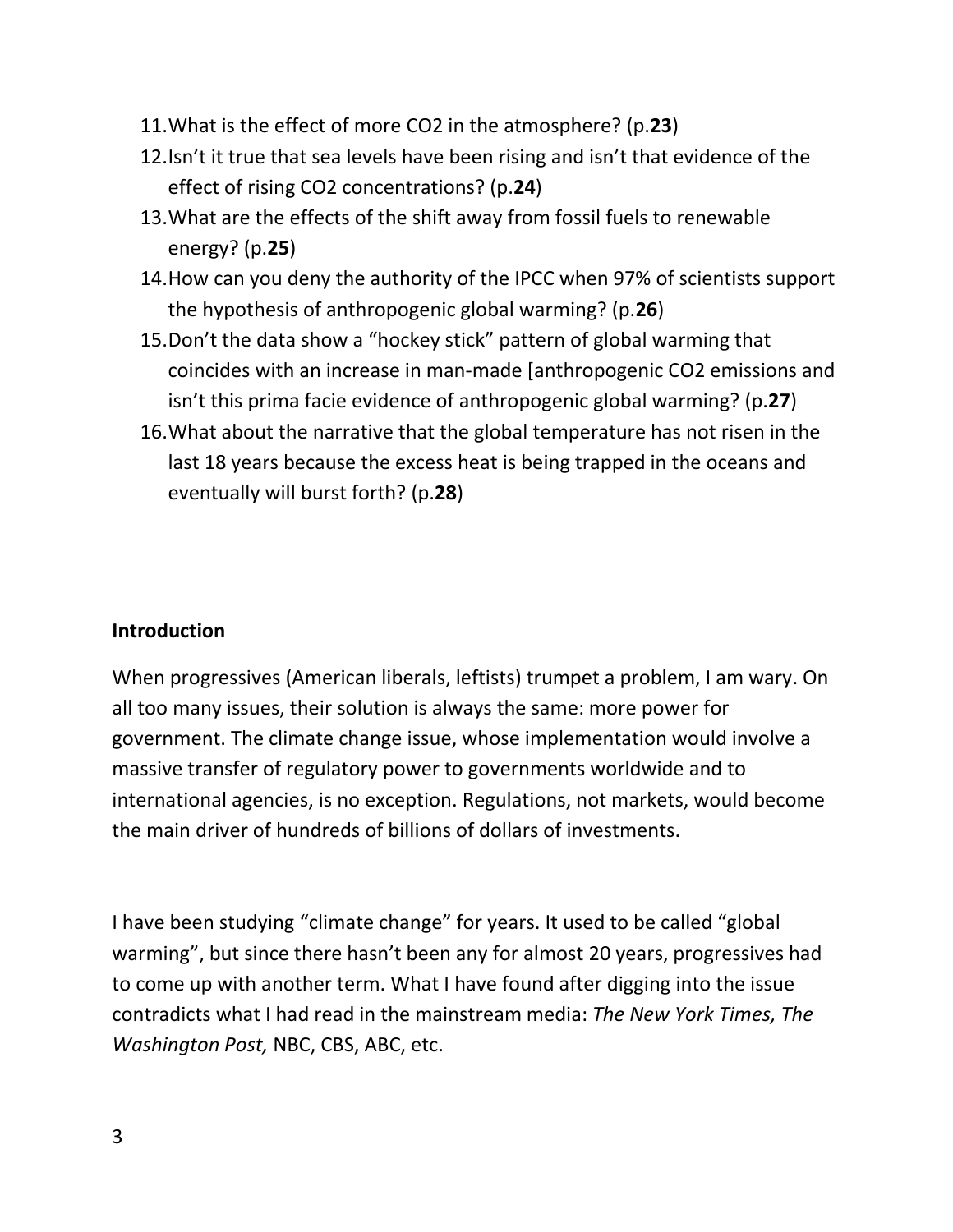- 11.What is the effect of more CO2 in the atmosphere? (p.**23**)
- 12.Isn't it true that sea levels have been rising and isn't that evidence of the effect of rising CO2 concentrations? (p.**24**)
- 13.What are the effects of the shift away from fossil fuels to renewable energy? (p.**25**)
- 14.How can you deny the authority of the IPCC when 97% of scientists support the hypothesis of anthropogenic global warming? (p.**26**)
- 15.Don't the data show a "hockey stick" pattern of global warming that coincides with an increase in man-made [anthropogenic CO2 emissions and isn't this prima facie evidence of anthropogenic global warming? (p.**27**)
- 16.What about the narrative that the global temperature has not risen in the last 18 years because the excess heat is being trapped in the oceans and eventually will burst forth? (p.**28**)

#### **Introduction**

When progressives (American liberals, leftists) trumpet a problem, I am wary. On all too many issues, their solution is always the same: more power for government. The climate change issue, whose implementation would involve a massive transfer of regulatory power to governments worldwide and to international agencies, is no exception. Regulations, not markets, would become the main driver of hundreds of billions of dollars of investments.

I have been studying "climate change" for years. It used to be called "global warming", but since there hasn't been any for almost 20 years, progressives had to come up with another term. What I have found after digging into the issue contradicts what I had read in the mainstream media: *The New York Times, The Washington Post,* NBC, CBS, ABC, etc.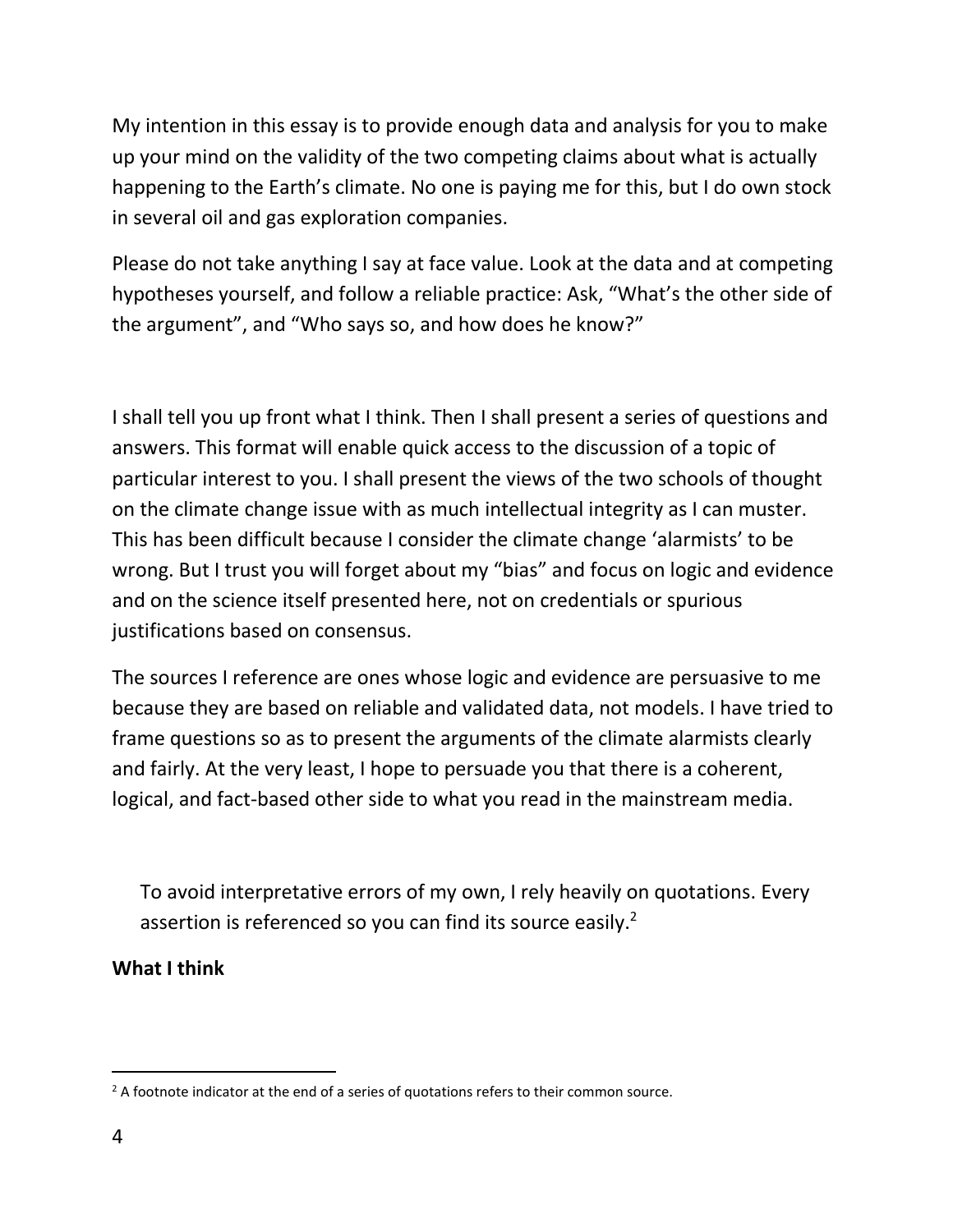My intention in this essay is to provide enough data and analysis for you to make up your mind on the validity of the two competing claims about what is actually happening to the Earth's climate. No one is paying me for this, but I do own stock in several oil and gas exploration companies.

Please do not take anything I say at face value. Look at the data and at competing hypotheses yourself, and follow a reliable practice: Ask, "What's the other side of the argument", and "Who says so, and how does he know?"

I shall tell you up front what I think. Then I shall present a series of questions and answers. This format will enable quick access to the discussion of a topic of particular interest to you. I shall present the views of the two schools of thought on the climate change issue with as much intellectual integrity as I can muster. This has been difficult because I consider the climate change 'alarmists' to be wrong. But I trust you will forget about my "bias" and focus on logic and evidence and on the science itself presented here, not on credentials or spurious justifications based on consensus.

The sources I reference are ones whose logic and evidence are persuasive to me because they are based on reliable and validated data, not models. I have tried to frame questions so as to present the arguments of the climate alarmists clearly and fairly. At the very least, I hope to persuade you that there is a coherent, logical, and fact-based other side to what you read in the mainstream media.

To avoid interpretative errors of my own, I rely heavily on quotations. Every assertion is referenced so you can find its source easily.<sup>2</sup>

**What I think**

 $\overline{a}$  $<sup>2</sup>$  A footnote indicator at the end of a series of quotations refers to their common source.</sup>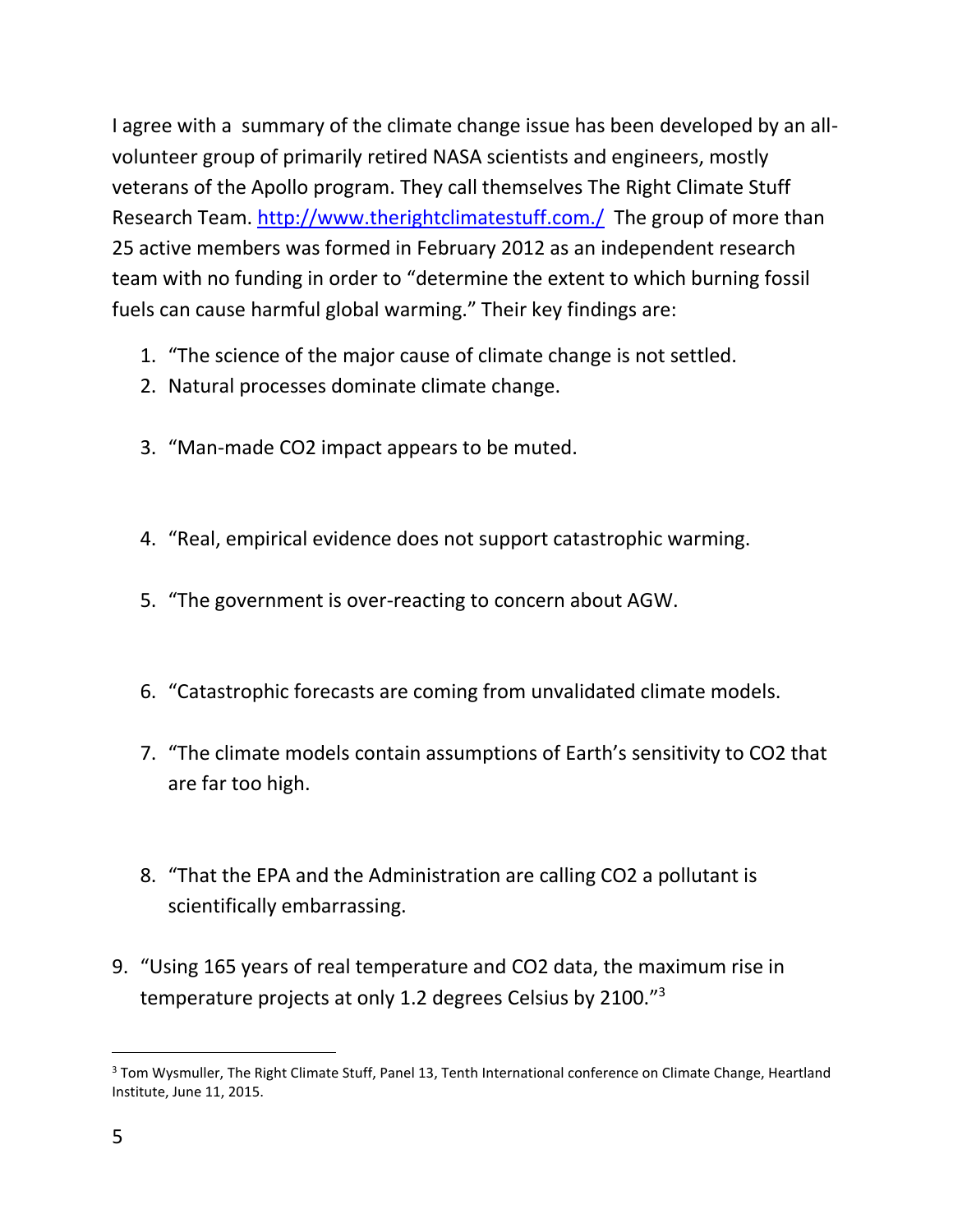I agree with a summary of the climate change issue has been developed by an allvolunteer group of primarily retired NASA scientists and engineers, mostly veterans of the Apollo program. They call themselves The Right Climate Stuff Research Team.<http://www.therightclimatestuff.com./>The group of more than 25 active members was formed in February 2012 as an independent research team with no funding in order to "determine the extent to which burning fossil fuels can cause harmful global warming." Their key findings are:

- 1. "The science of the major cause of climate change is not settled.
- 2. Natural processes dominate climate change.
- 3. "Man-made CO2 impact appears to be muted.
- 4. "Real, empirical evidence does not support catastrophic warming.
- 5. "The government is over-reacting to concern about AGW.
- 6. "Catastrophic forecasts are coming from unvalidated climate models.
- 7. "The climate models contain assumptions of Earth's sensitivity to CO2 that are far too high.
- 8. "That the EPA and the Administration are calling CO2 a pollutant is scientifically embarrassing.
- 9. "Using 165 years of real temperature and CO2 data, the maximum rise in temperature projects at only 1.2 degrees Celsius by 2100."<sup>3</sup>

 $\overline{a}$ <sup>3</sup> Tom Wysmuller, The Right Climate Stuff, Panel 13, Tenth International conference on Climate Change, Heartland Institute, June 11, 2015.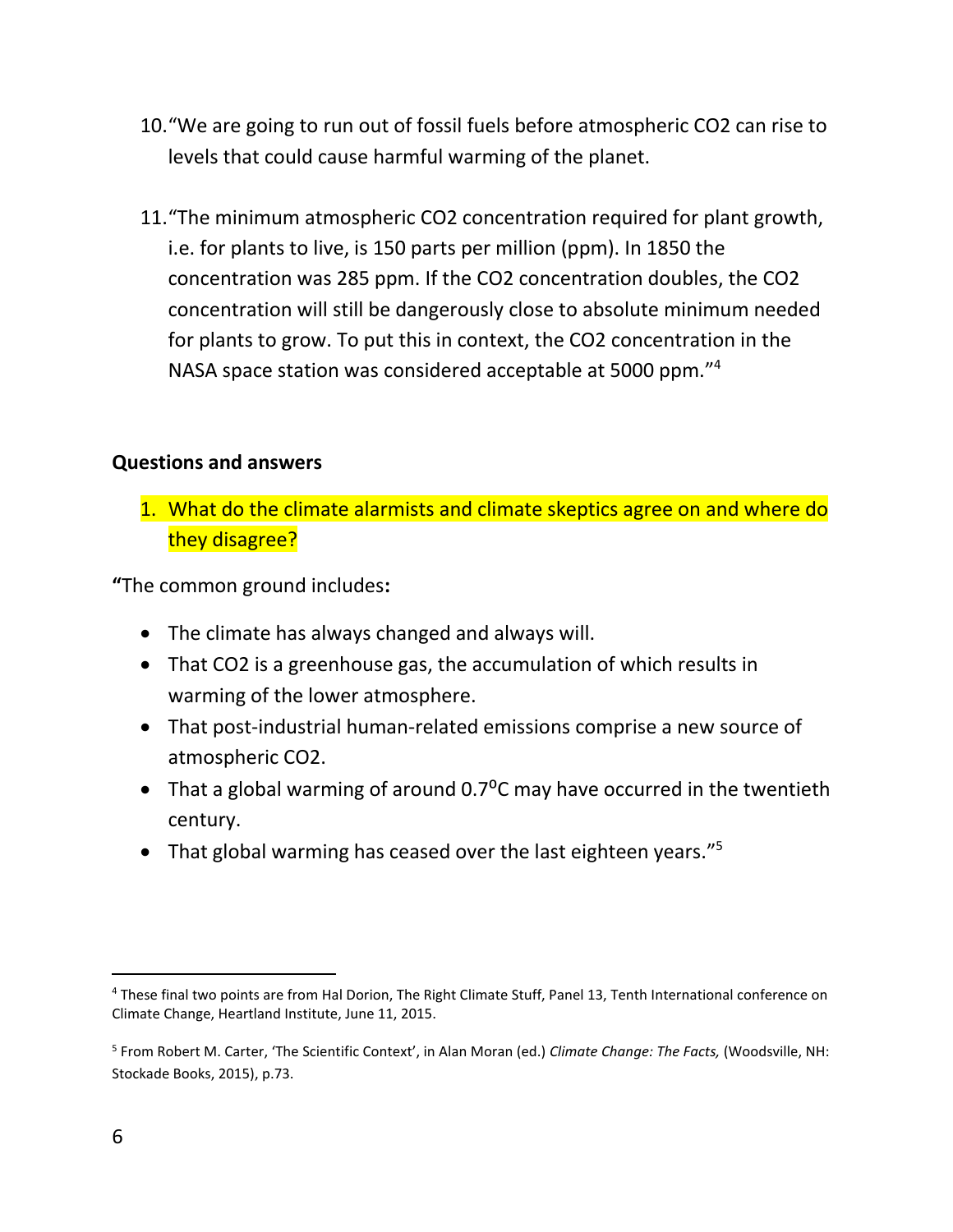- 10."We are going to run out of fossil fuels before atmospheric CO2 can rise to levels that could cause harmful warming of the planet.
- 11."The minimum atmospheric CO2 concentration required for plant growth, i.e. for plants to live, is 150 parts per million (ppm). In 1850 the concentration was 285 ppm. If the CO2 concentration doubles, the CO2 concentration will still be dangerously close to absolute minimum needed for plants to grow. To put this in context, the CO2 concentration in the NASA space station was considered acceptable at 5000 ppm." 4

#### **Questions and answers**

1. What do the climate alarmists and climate skeptics agree on and where do they disagree?

**"**The common ground includes**:**

- The climate has always changed and always will.
- That CO2 is a greenhouse gas, the accumulation of which results in warming of the lower atmosphere.
- That post-industrial human-related emissions comprise a new source of atmospheric CO2.
- That a global warming of around  $0.7^{\circ}$ C may have occurred in the twentieth century.
- That global warming has ceased over the last eighteen years."<sup>5</sup>

<sup>4</sup> These final two points are from Hal Dorion, The Right Climate Stuff, Panel 13, Tenth International conference on Climate Change, Heartland Institute, June 11, 2015.

<sup>5</sup> From Robert M. Carter, 'The Scientific Context', in Alan Moran (ed.) *Climate Change: The Facts,* (Woodsville, NH: Stockade Books, 2015), p.73.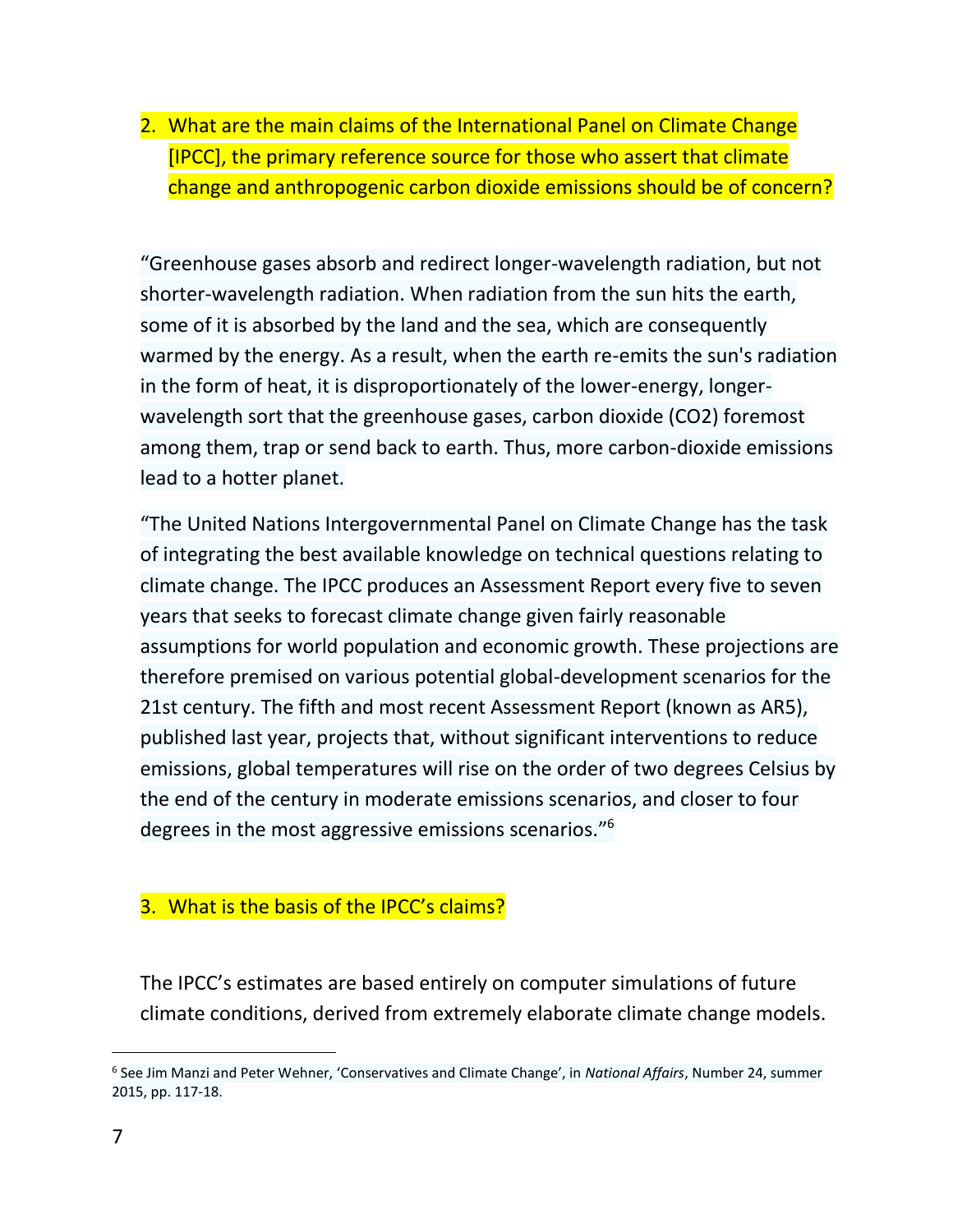2. What are the main claims of the International Panel on Climate Change [IPCC], the primary reference source for those who assert that climate change and anthropogenic carbon dioxide emissions should be of concern?

"Greenhouse gases absorb and redirect longer-wavelength radiation, but not shorter-wavelength radiation. When radiation from the sun hits the earth, some of it is absorbed by the land and the sea, which are consequently warmed by the energy. As a result, when the earth re-emits the sun's radiation in the form of heat, it is disproportionately of the lower-energy, longerwavelength sort that the greenhouse gases, carbon dioxide (CO2) foremost among them, trap or send back to earth. Thus, more carbon-dioxide emissions lead to a hotter planet.

"The United Nations Intergovernmental Panel on Climate Change has the task of integrating the best available knowledge on technical questions relating to climate change. The IPCC produces an Assessment Report every five to seven years that seeks to forecast climate change given fairly reasonable assumptions for world population and economic growth. These projections are therefore premised on various potential global-development scenarios for the 21st century. The fifth and most recent Assessment Report (known as AR5), published last year, projects that, without significant interventions to reduce emissions, global temperatures will rise on the order of two degrees Celsius by the end of the century in moderate emissions scenarios, and closer to four degrees in the most aggressive emissions scenarios."<sup>6</sup>

#### 3. What is the basis of the IPCC's claims?

The IPCC's estimates are based entirely on computer simulations of future climate conditions, derived from extremely elaborate climate change models.

<sup>6</sup> See Jim Manzi and Peter Wehner, 'Conservatives and Climate Change', in *National Affairs*, Number 24, summer 2015, pp. 117-18.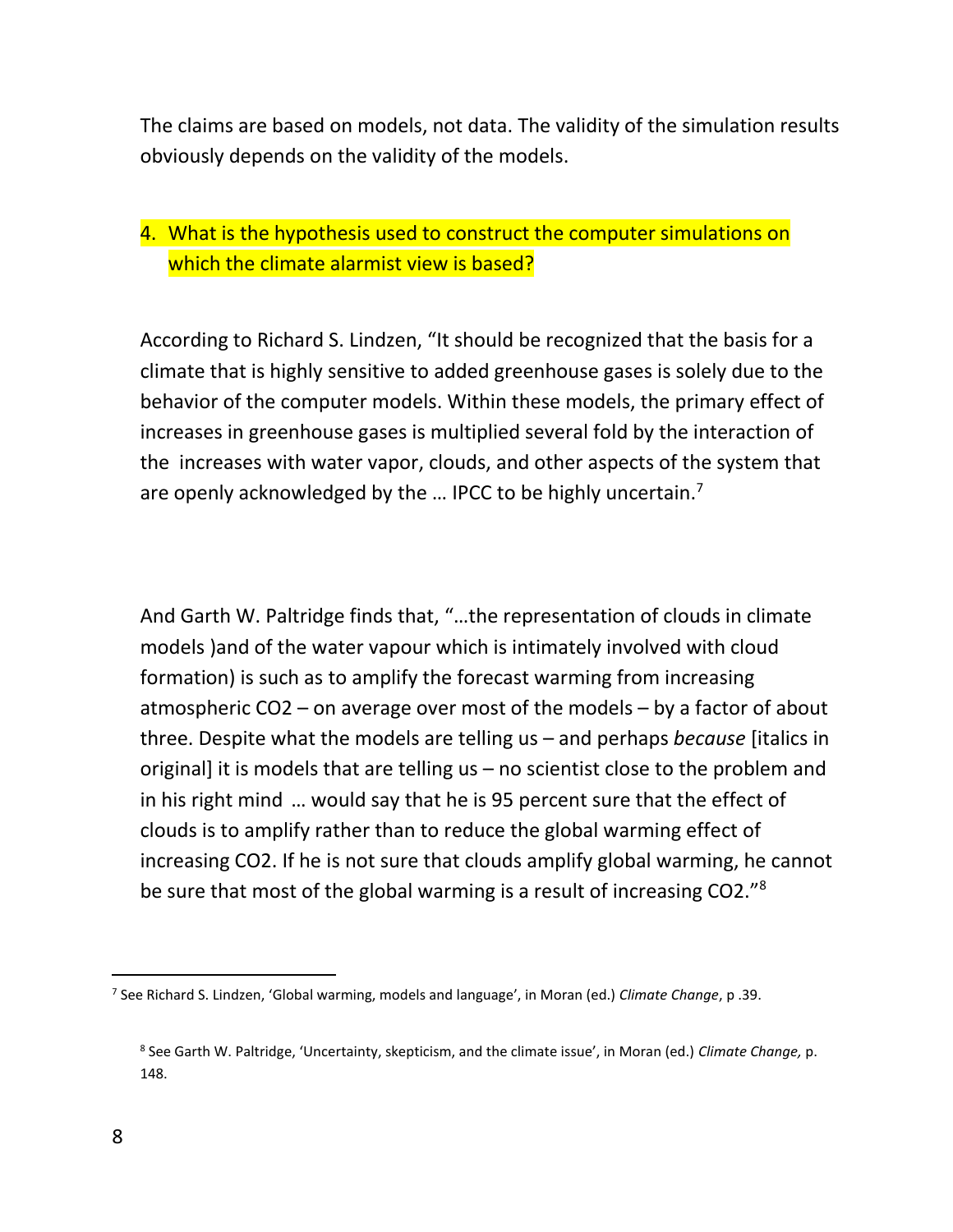The claims are based on models, not data. The validity of the simulation results obviously depends on the validity of the models.

#### 4. What is the hypothesis used to construct the computer simulations on which the climate alarmist view is based?

According to Richard S. Lindzen, "It should be recognized that the basis for a climate that is highly sensitive to added greenhouse gases is solely due to the behavior of the computer models. Within these models, the primary effect of increases in greenhouse gases is multiplied several fold by the interaction of the increases with water vapor, clouds, and other aspects of the system that are openly acknowledged by the ... IPCC to be highly uncertain.<sup>7</sup>

And Garth W. Paltridge finds that, "…the representation of clouds in climate models )and of the water vapour which is intimately involved with cloud formation) is such as to amplify the forecast warming from increasing atmospheric CO2 – on average over most of the models – by a factor of about three. Despite what the models are telling us – and perhaps *because* [italics in original] it is models that are telling us – no scientist close to the problem and in his right mind … would say that he is 95 percent sure that the effect of clouds is to amplify rather than to reduce the global warming effect of increasing CO2. If he is not sure that clouds amplify global warming, he cannot be sure that most of the global warming is a result of increasing CO2."<sup>8</sup>

<sup>7</sup> See Richard S. Lindzen, 'Global warming, models and language', in Moran (ed.) *Climate Change*, p .39.

<sup>8</sup> See Garth W. Paltridge, 'Uncertainty, skepticism, and the climate issue', in Moran (ed.) *Climate Change,* p. 148.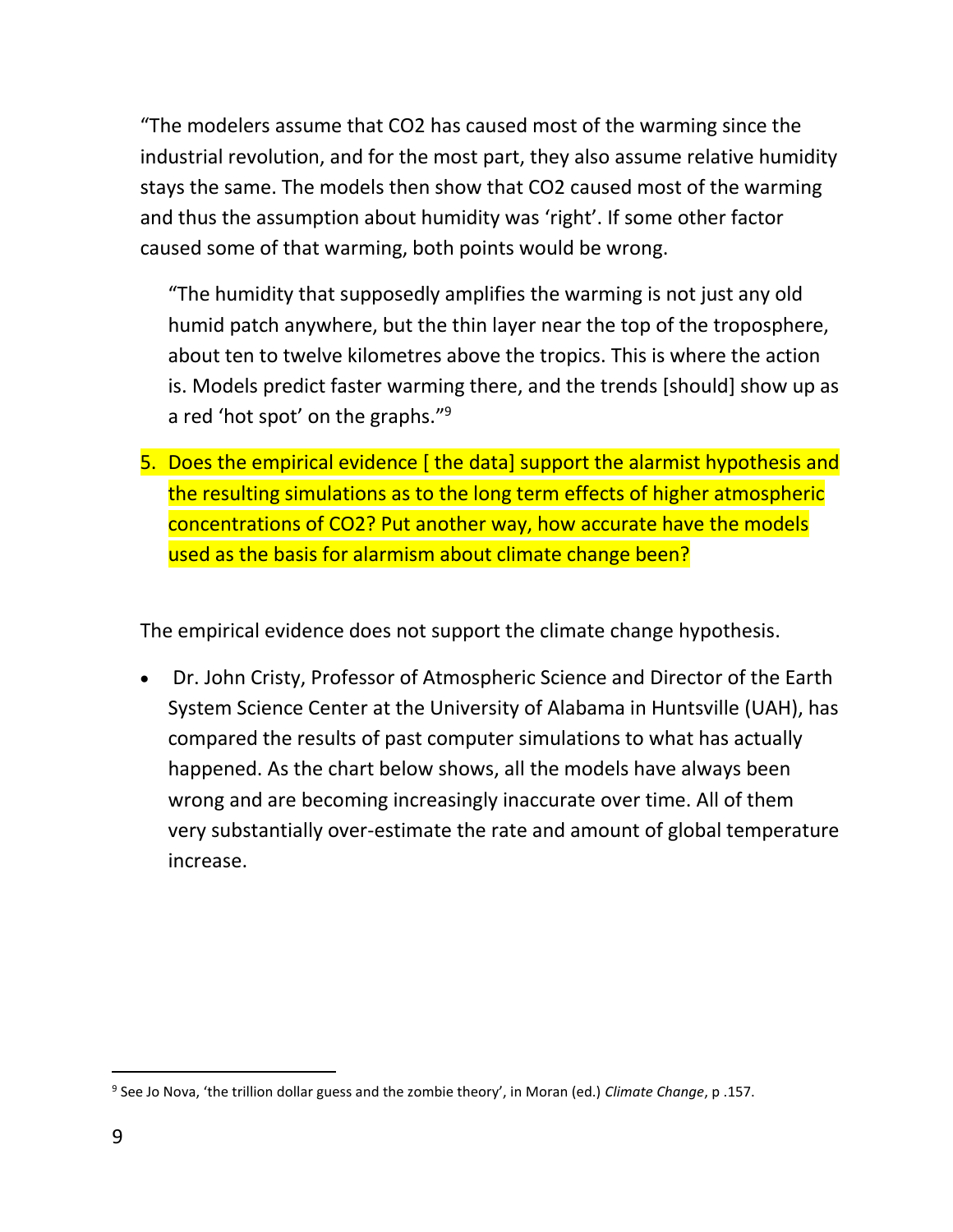"The modelers assume that CO2 has caused most of the warming since the industrial revolution, and for the most part, they also assume relative humidity stays the same. The models then show that CO2 caused most of the warming and thus the assumption about humidity was 'right'. If some other factor caused some of that warming, both points would be wrong.

"The humidity that supposedly amplifies the warming is not just any old humid patch anywhere, but the thin layer near the top of the troposphere, about ten to twelve kilometres above the tropics. This is where the action is. Models predict faster warming there, and the trends [should] show up as a red 'hot spot' on the graphs."<sup>9</sup>

5. Does the empirical evidence [ the data] support the alarmist hypothesis and the resulting simulations as to the long term effects of higher atmospheric concentrations of CO2? Put another way, how accurate have the models used as the basis for alarmism about climate change been?

The empirical evidence does not support the climate change hypothesis.

• Dr. John Cristy, Professor of Atmospheric Science and Director of the Earth System Science Center at the University of Alabama in Huntsville (UAH), has compared the results of past computer simulations to what has actually happened. As the chart below shows, all the models have always been wrong and are becoming increasingly inaccurate over time. All of them very substantially over-estimate the rate and amount of global temperature increase.

 $\overline{a}$ 9 See Jo Nova, 'the trillion dollar guess and the zombie theory', in Moran (ed.) *Climate Change*, p .157.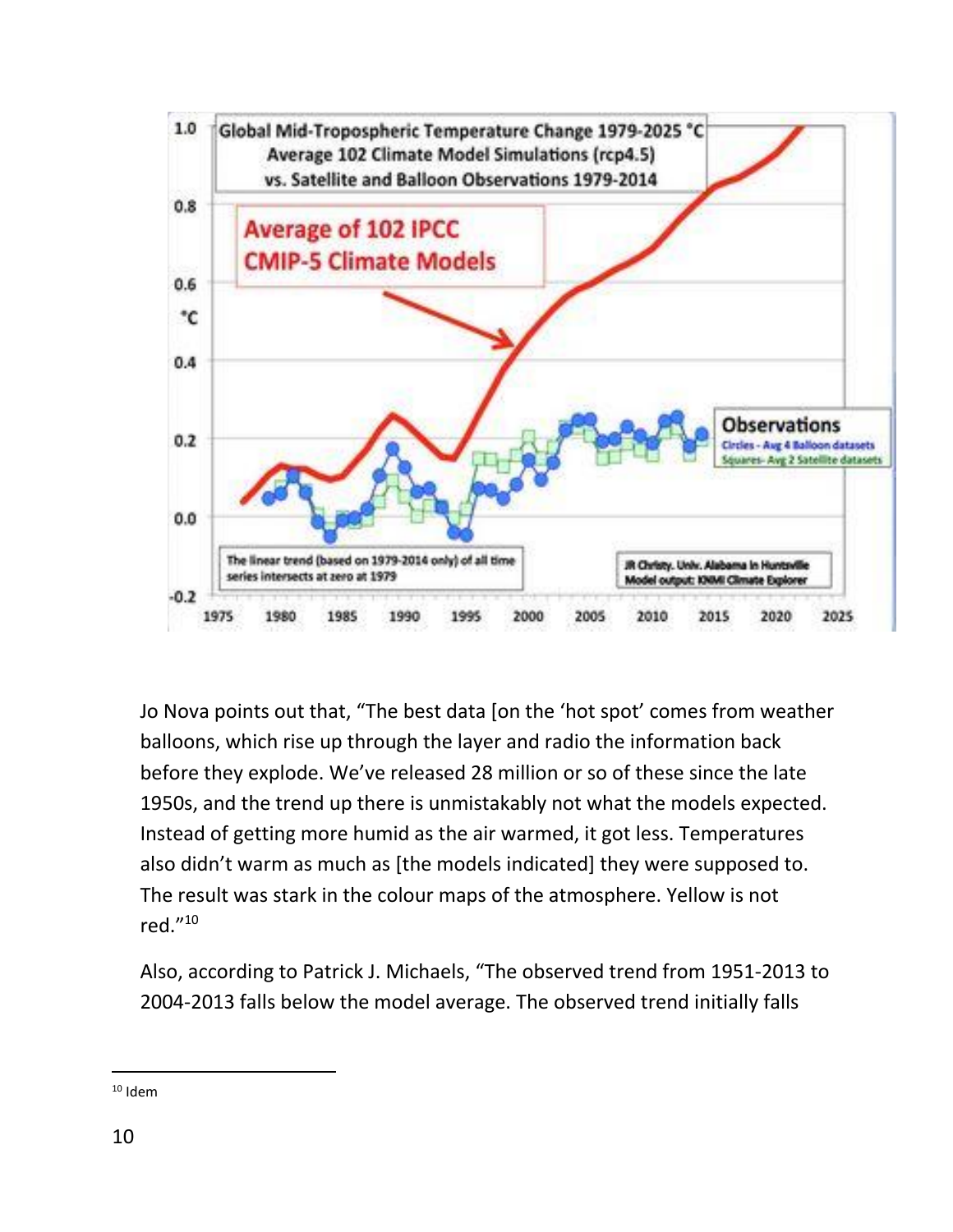

Jo Nova points out that, "The best data [on the 'hot spot' comes from weather balloons, which rise up through the layer and radio the information back before they explode. We've released 28 million or so of these since the late 1950s, and the trend up there is unmistakably not what the models expected. Instead of getting more humid as the air warmed, it got less. Temperatures also didn't warm as much as [the models indicated] they were supposed to. The result was stark in the colour maps of the atmosphere. Yellow is not red." 10

Also, according to Patrick J. Michaels, "The observed trend from 1951-2013 to 2004-2013 falls below the model average. The observed trend initially falls

 $10$  Idem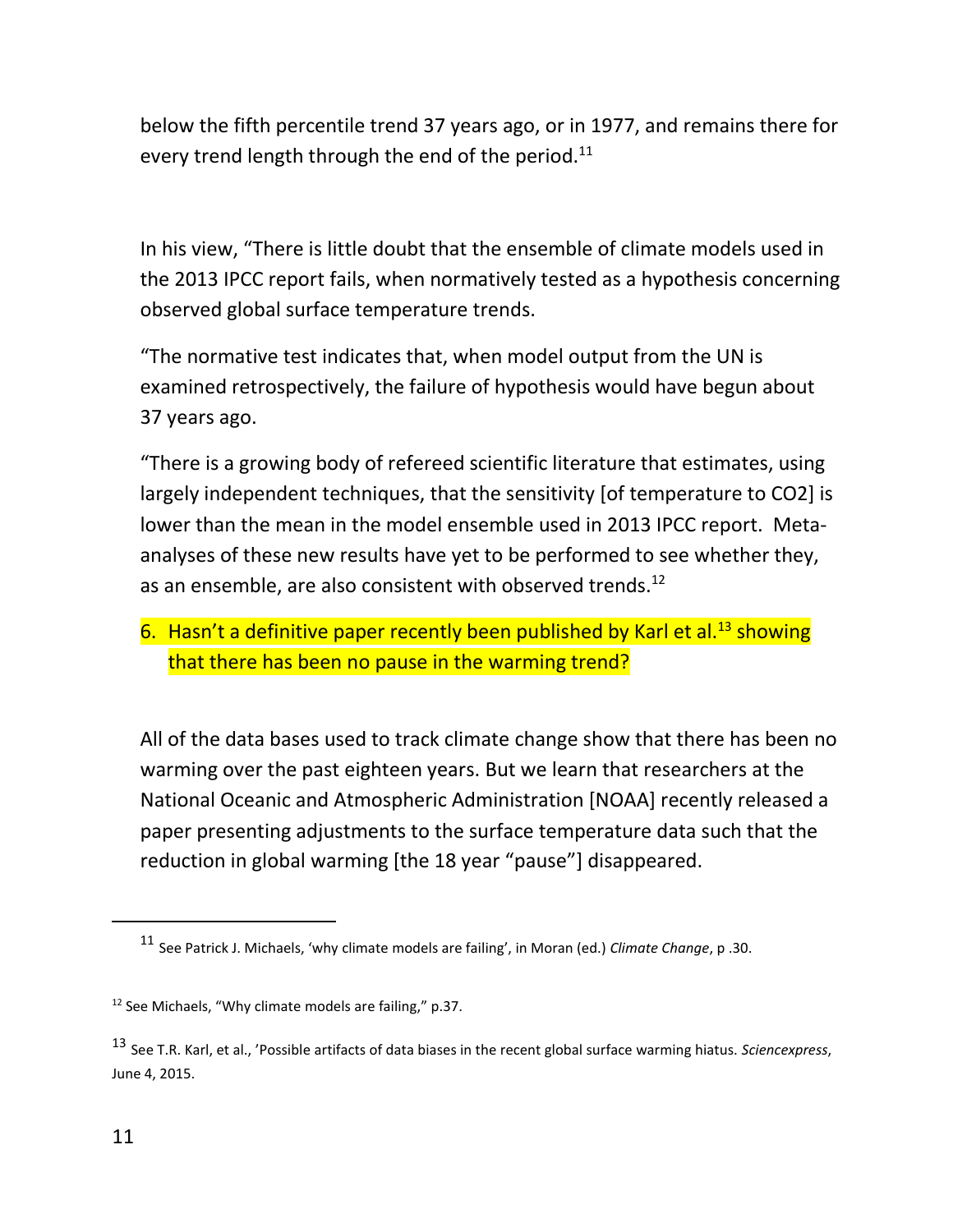below the fifth percentile trend 37 years ago, or in 1977, and remains there for every trend length through the end of the period. $11$ 

In his view, "There is little doubt that the ensemble of climate models used in the 2013 IPCC report fails, when normatively tested as a hypothesis concerning observed global surface temperature trends.

"The normative test indicates that, when model output from the UN is examined retrospectively, the failure of hypothesis would have begun about 37 years ago.

"There is a growing body of refereed scientific literature that estimates, using largely independent techniques, that the sensitivity [of temperature to CO2] is lower than the mean in the model ensemble used in 2013 IPCC report. Metaanalyses of these new results have yet to be performed to see whether they, as an ensemble, are also consistent with observed trends.<sup>12</sup>

#### 6. Hasn't a definitive paper recently been published by Karl et al.<sup>13</sup> showing that there has been no pause in the warming trend?

All of the data bases used to track climate change show that there has been no warming over the past eighteen years. But we learn that researchers at the National Oceanic and Atmospheric Administration [NOAA] recently released a paper presenting adjustments to the surface temperature data such that the reduction in global warming [the 18 year "pause"] disappeared.

<sup>11</sup> See Patrick J. Michaels, 'why climate models are failing', in Moran (ed.) *Climate Change*, p .30.

 $12$  See Michaels, "Why climate models are failing," p.37.

<sup>13</sup> See T.R. Karl, et al., 'Possible artifacts of data biases in the recent global surface warming hiatus. *Sciencexpress*, June 4, 2015.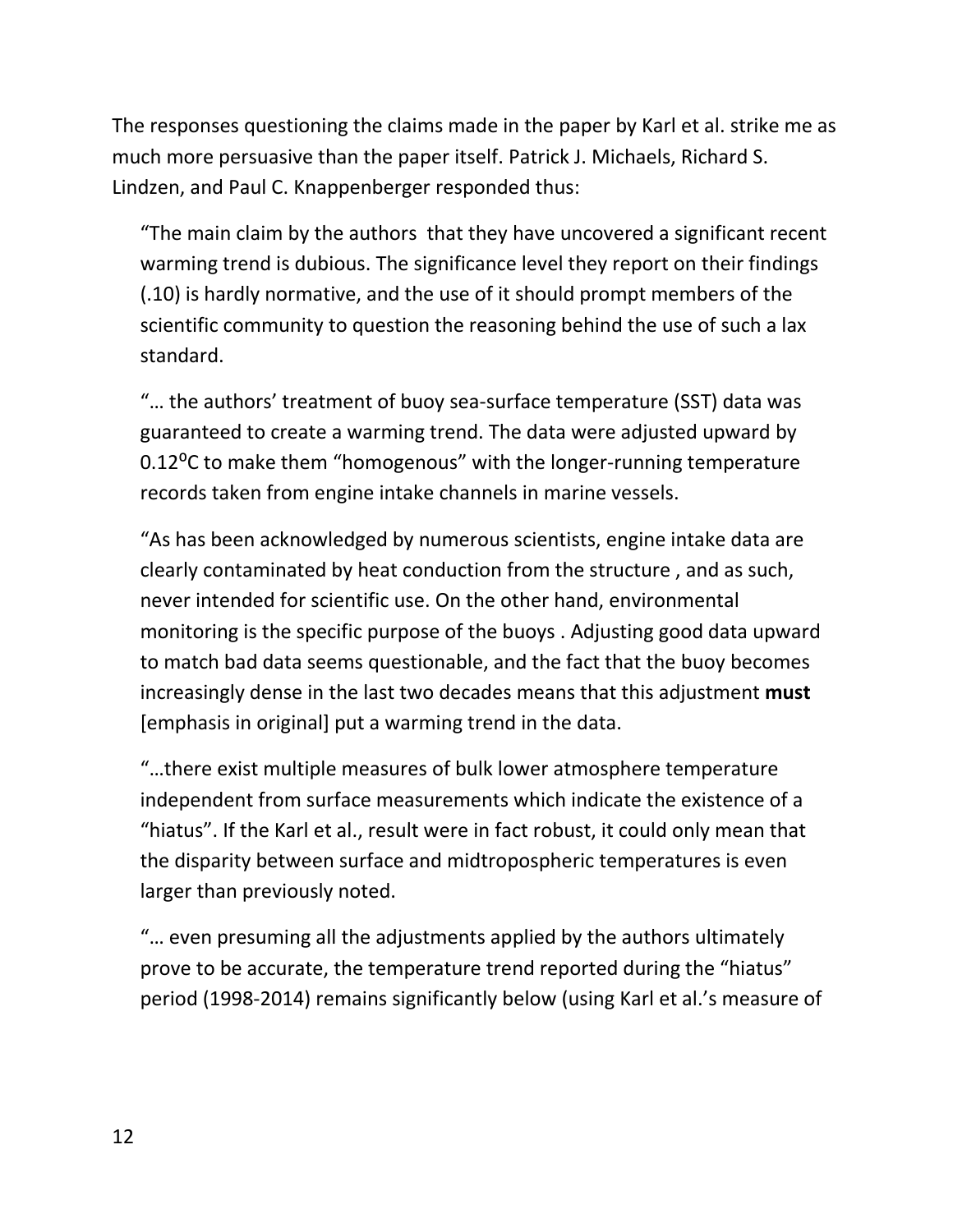The responses questioning the claims made in the paper by Karl et al. strike me as much more persuasive than the paper itself. Patrick J. Michaels, Richard S. Lindzen, and Paul C. Knappenberger responded thus:

"The main claim by the authors that they have uncovered a significant recent warming trend is dubious. The significance level they report on their findings (.10) is hardly normative, and the use of it should prompt members of the scientific community to question the reasoning behind the use of such a lax standard.

"… the authors' treatment of buoy sea-surface temperature (SST) data was guaranteed to create a warming trend. The data were adjusted upward by 0.12<sup>o</sup>C to make them "homogenous" with the longer-running temperature records taken from engine intake channels in marine vessels.

"As has been acknowledged by numerous scientists, engine intake data are clearly contaminated by heat conduction from the structure , and as such, never intended for scientific use. On the other hand, environmental monitoring is the specific purpose of the buoys . Adjusting good data upward to match bad data seems questionable, and the fact that the buoy becomes increasingly dense in the last two decades means that this adjustment **must**  [emphasis in original] put a warming trend in the data.

"…there exist multiple measures of bulk lower atmosphere temperature independent from surface measurements which indicate the existence of a "hiatus". If the Karl et al., result were in fact robust, it could only mean that the disparity between surface and midtropospheric temperatures is even larger than previously noted.

"… even presuming all the adjustments applied by the authors ultimately prove to be accurate, the temperature trend reported during the "hiatus" period (1998-2014) remains significantly below (using Karl et al.'s measure of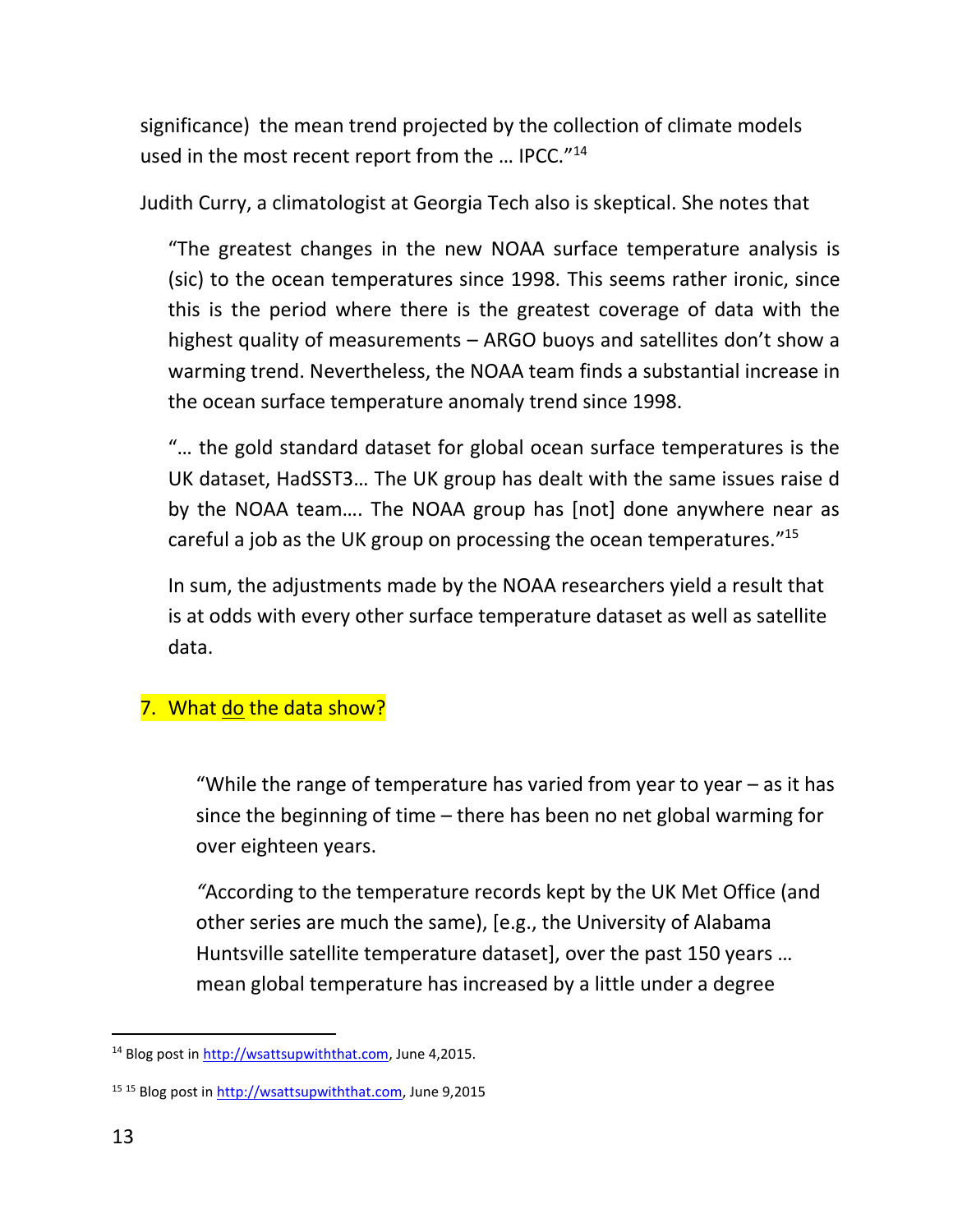significance) the mean trend projected by the collection of climate models used in the most recent report from the ... IPCC."<sup>14</sup>

Judith Curry, a climatologist at Georgia Tech also is skeptical. She notes that

"The greatest changes in the new NOAA surface temperature analysis is (sic) to the ocean temperatures since 1998. This seems rather ironic, since this is the period where there is the greatest coverage of data with the highest quality of measurements – ARGO buoys and satellites don't show a warming trend. Nevertheless, the NOAA team finds a substantial increase in the ocean surface temperature anomaly trend since 1998.

"… the gold standard dataset for global ocean surface temperatures is the UK dataset, HadSST3… The UK group has dealt with the same issues raise d by the NOAA team…. The NOAA group has [not] done anywhere near as careful a job as the UK group on processing the ocean temperatures."<sup>15</sup>

In sum, the adjustments made by the NOAA researchers yield a result that is at odds with every other surface temperature dataset as well as satellite data.

## 7. What do the data show?

"While the range of temperature has varied from year to year  $-$  as it has since the beginning of time – there has been no net global warming for over eighteen years.

*"*According to the temperature records kept by the UK Met Office (and other series are much the same), [e.g., the University of Alabama Huntsville satellite temperature dataset], over the past 150 years … mean global temperature has increased by a little under a degree

 $\overline{a}$ <sup>14</sup> Blog post i[n http://wsattsupwiththat.com,](http://wsattsupwiththat.com/) June 4,2015.

<sup>15</sup> <sup>15</sup> Blog post in [http://wsattsupwiththat.com,](http://wsattsupwiththat.com/) June 9,2015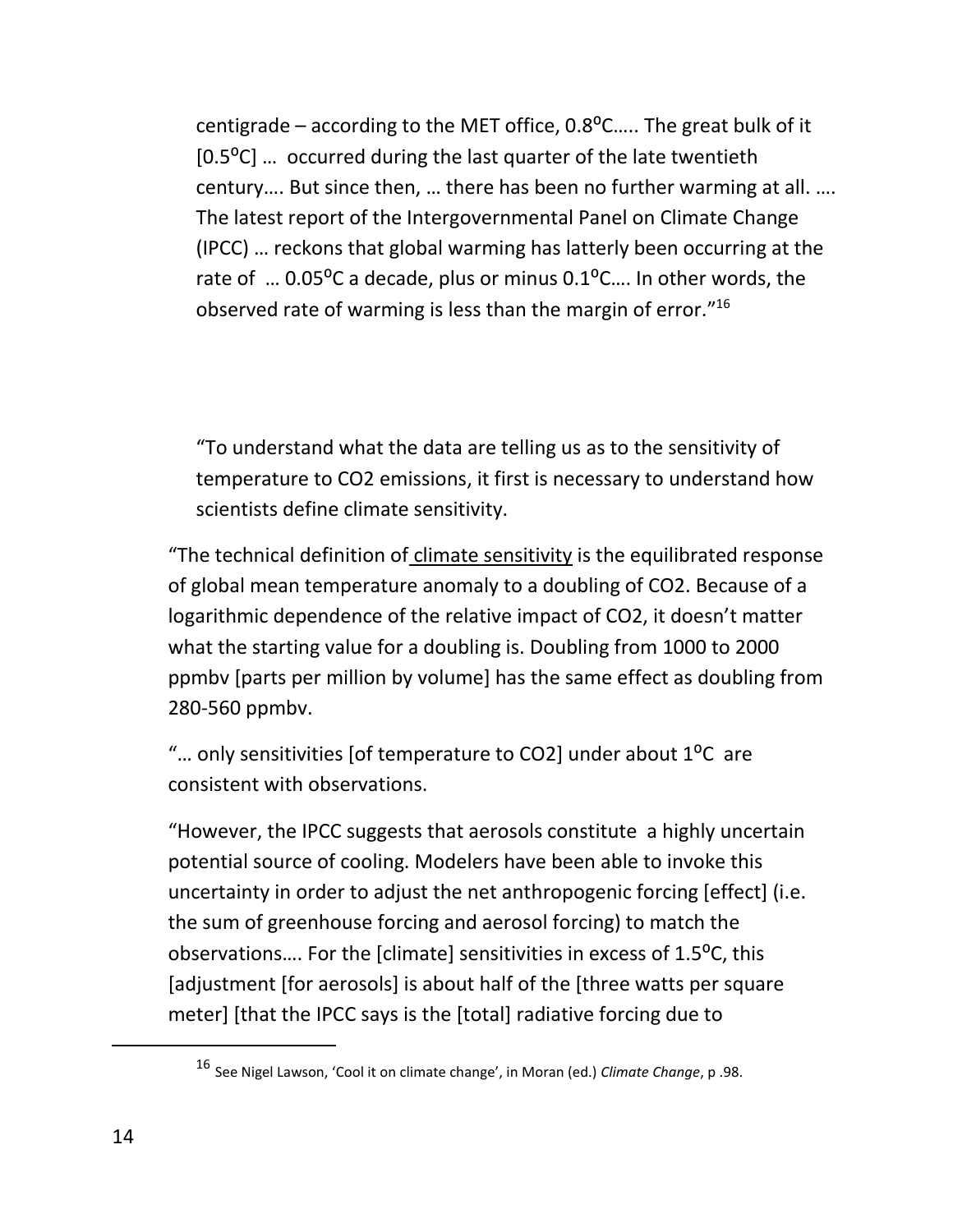centigrade – according to the MET office,  $0.8^{\circ}$ C..... The great bulk of it [0.5<sup>o</sup>C] ... occurred during the last quarter of the late twentieth century…. But since then, … there has been no further warming at all. …. The latest report of the Intergovernmental Panel on Climate Change (IPCC) … reckons that global warming has latterly been occurring at the rate of  $\ldots$  0.05°C a decade, plus or minus 0.1°C.... In other words, the observed rate of warming is less than the margin of error."<sup>16</sup>

"To understand what the data are telling us as to the sensitivity of temperature to CO2 emissions, it first is necessary to understand how scientists define climate sensitivity.

"The technical definition of climate sensitivity is the equilibrated response of global mean temperature anomaly to a doubling of CO2. Because of a logarithmic dependence of the relative impact of CO2, it doesn't matter what the starting value for a doubling is. Doubling from 1000 to 2000 ppmbv [parts per million by volume] has the same effect as doubling from 280-560 ppmbv.

"... only sensitivities [of temperature to CO2] under about  $1^{\circ}$ C are consistent with observations.

"However, the IPCC suggests that aerosols constitute a highly uncertain potential source of cooling. Modelers have been able to invoke this uncertainty in order to adjust the net anthropogenic forcing [effect] (i.e. the sum of greenhouse forcing and aerosol forcing) to match the observations.... For the [climate] sensitivities in excess of 1.5<sup>o</sup>C, this [adjustment [for aerosols] is about half of the [three watts per square meter] [that the IPCC says is the [total] radiative forcing due to

<sup>16</sup> See Nigel Lawson, 'Cool it on climate change', in Moran (ed.) *Climate Change*, p .98.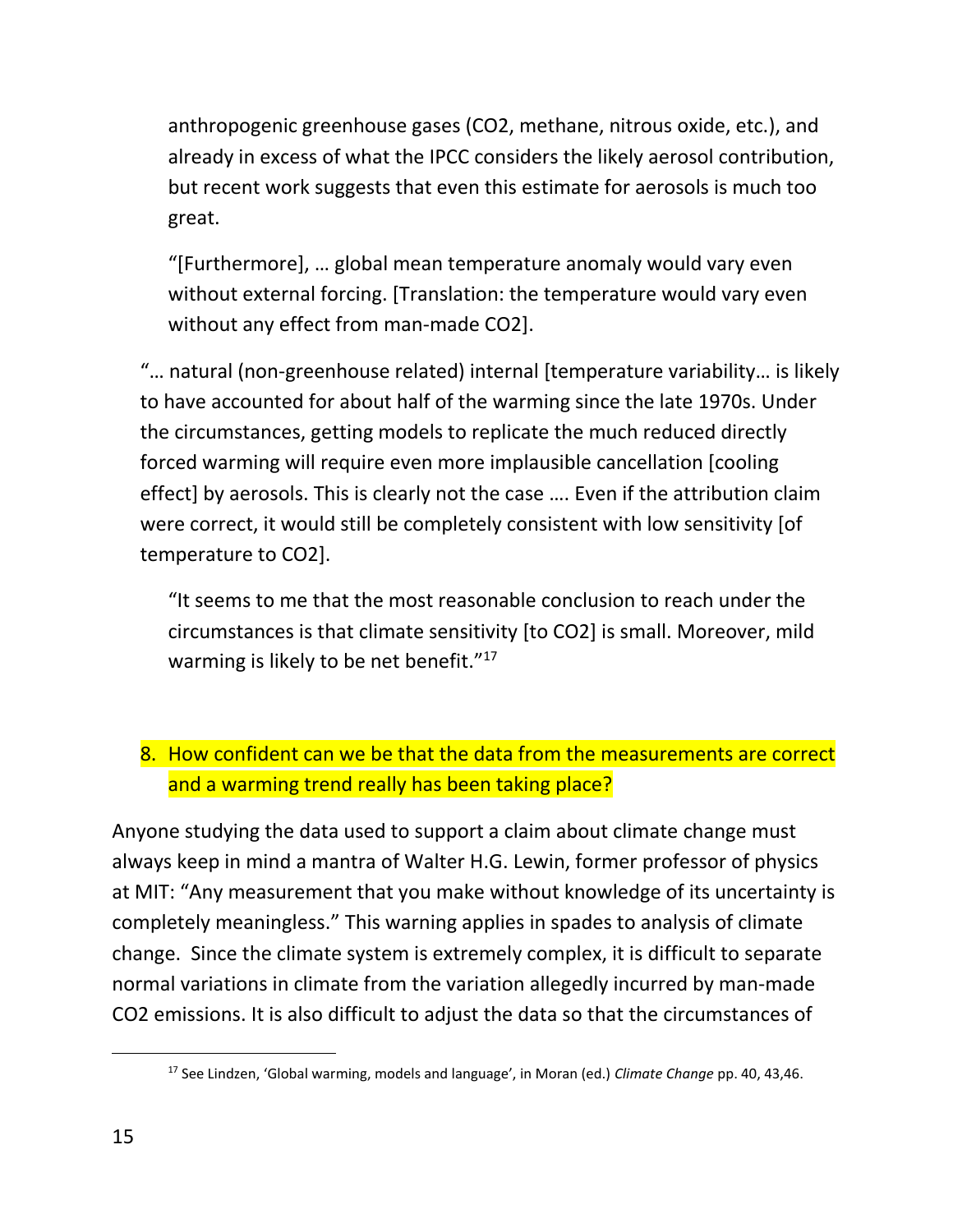anthropogenic greenhouse gases (CO2, methane, nitrous oxide, etc.), and already in excess of what the IPCC considers the likely aerosol contribution, but recent work suggests that even this estimate for aerosols is much too great.

"[Furthermore], … global mean temperature anomaly would vary even without external forcing. [Translation: the temperature would vary even without any effect from man-made CO2].

"… natural (non-greenhouse related) internal [temperature variability… is likely to have accounted for about half of the warming since the late 1970s. Under the circumstances, getting models to replicate the much reduced directly forced warming will require even more implausible cancellation [cooling effect] by aerosols. This is clearly not the case …. Even if the attribution claim were correct, it would still be completely consistent with low sensitivity [of temperature to CO2].

"It seems to me that the most reasonable conclusion to reach under the circumstances is that climate sensitivity [to CO2] is small. Moreover, mild warming is likely to be net benefit."<sup>17</sup>

## 8. How confident can we be that the data from the measurements are correct and a warming trend really has been taking place?

Anyone studying the data used to support a claim about climate change must always keep in mind a mantra of Walter H.G. Lewin, former professor of physics at MIT: "Any measurement that you make without knowledge of its uncertainty is completely meaningless." This warning applies in spades to analysis of climate change. Since the climate system is extremely complex, it is difficult to separate normal variations in climate from the variation allegedly incurred by man-made CO2 emissions. It is also difficult to adjust the data so that the circumstances of

 $\ddot{ }$ 

<sup>17</sup> See Lindzen, 'Global warming, models and language', in Moran (ed.) *Climate Change* pp. 40, 43,46.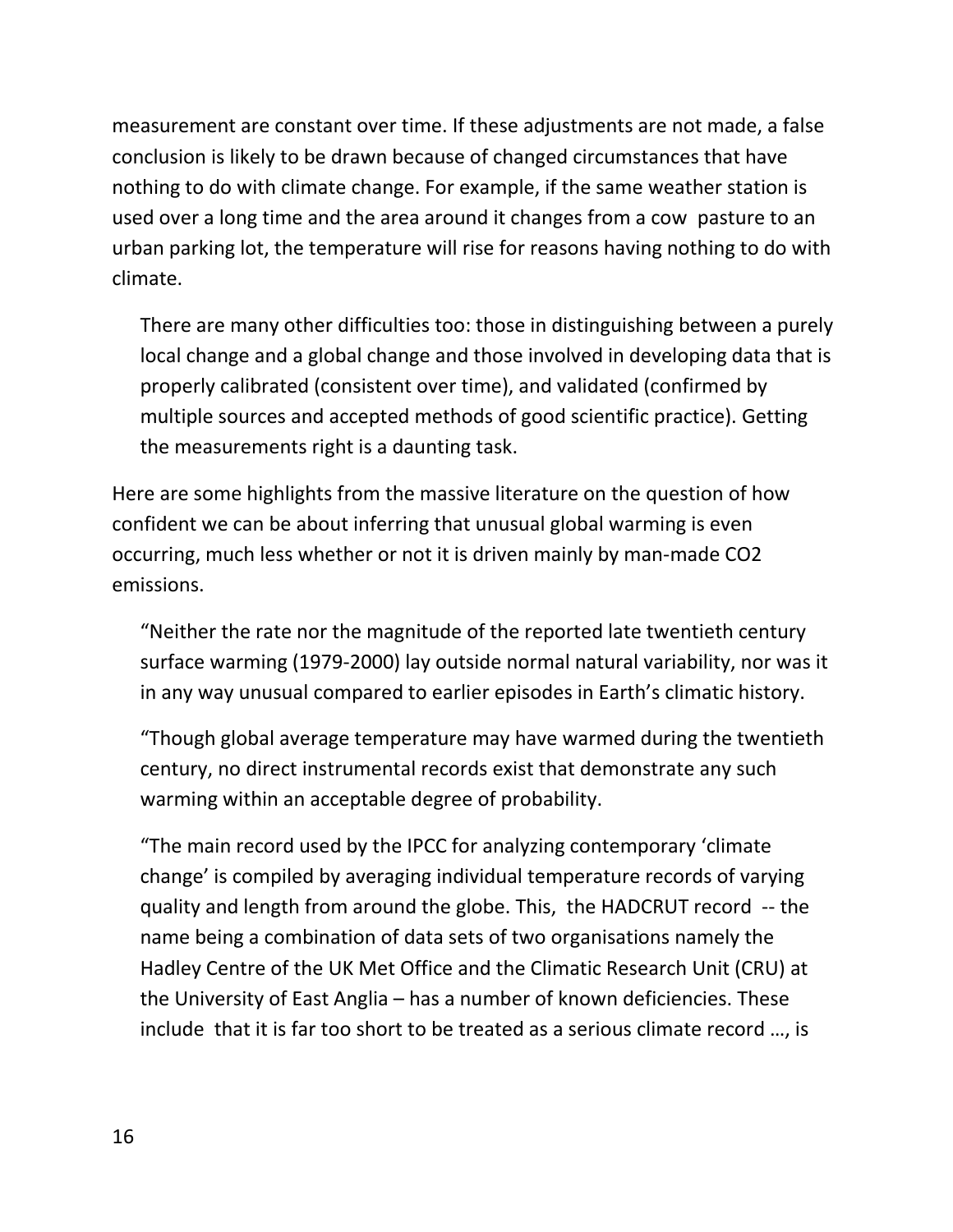measurement are constant over time. If these adjustments are not made, a false conclusion is likely to be drawn because of changed circumstances that have nothing to do with climate change. For example, if the same weather station is used over a long time and the area around it changes from a cow pasture to an urban parking lot, the temperature will rise for reasons having nothing to do with climate.

There are many other difficulties too: those in distinguishing between a purely local change and a global change and those involved in developing data that is properly calibrated (consistent over time), and validated (confirmed by multiple sources and accepted methods of good scientific practice). Getting the measurements right is a daunting task.

Here are some highlights from the massive literature on the question of how confident we can be about inferring that unusual global warming is even occurring, much less whether or not it is driven mainly by man-made CO2 emissions.

"Neither the rate nor the magnitude of the reported late twentieth century surface warming (1979-2000) lay outside normal natural variability, nor was it in any way unusual compared to earlier episodes in Earth's climatic history.

"Though global average temperature may have warmed during the twentieth century, no direct instrumental records exist that demonstrate any such warming within an acceptable degree of probability.

"The main record used by the IPCC for analyzing contemporary 'climate change' is compiled by averaging individual temperature records of varying quality and length from around the globe. This, the HADCRUT record -- the name being a combination of data sets of two organisations namely the Hadley Centre of the UK Met Office and the Climatic Research Unit (CRU) at the University of East Anglia – has a number of known deficiencies. These include that it is far too short to be treated as a serious climate record …, is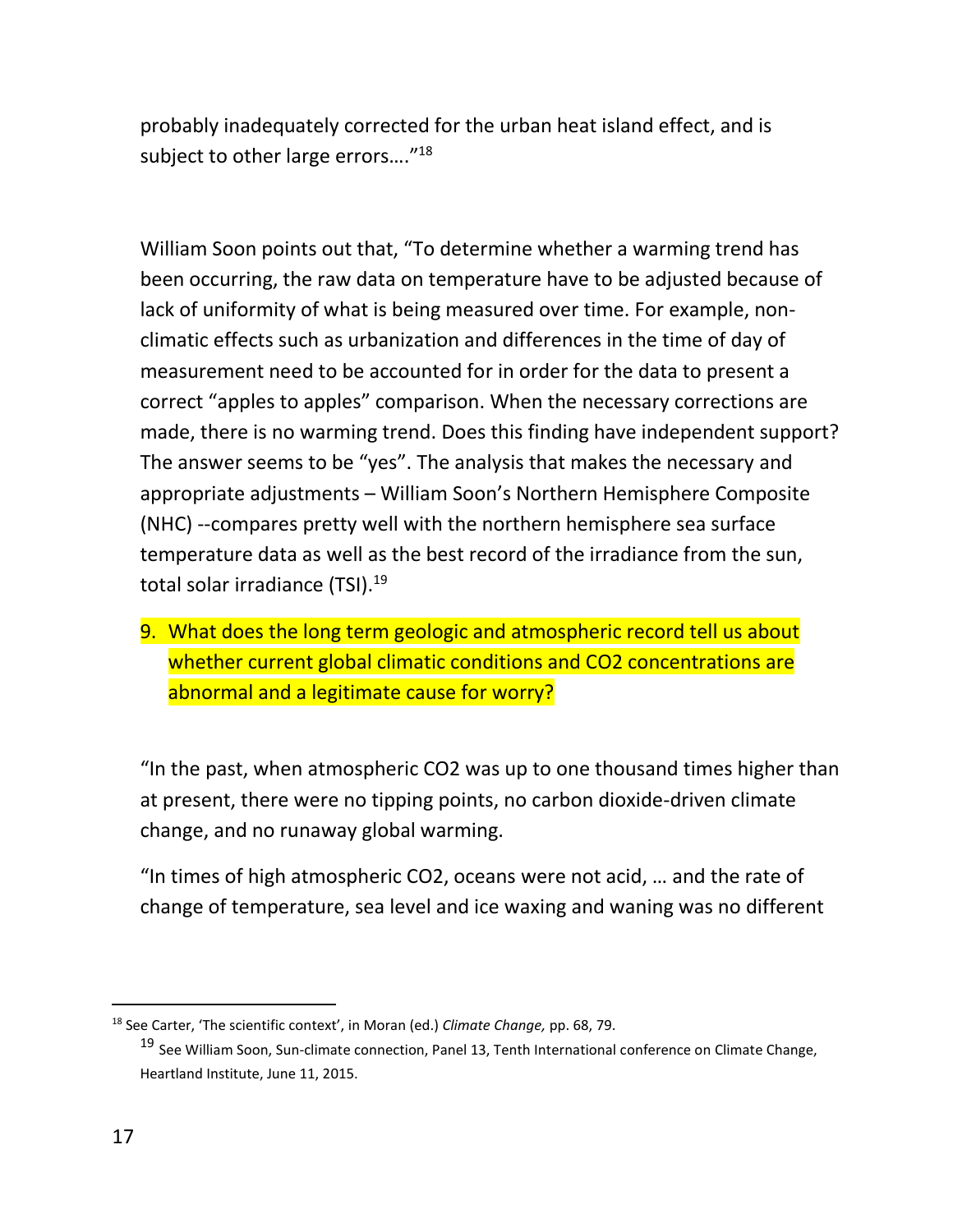probably inadequately corrected for the urban heat island effect, and is subject to other large errors...."<sup>18</sup>

William Soon points out that, "To determine whether a warming trend has been occurring, the raw data on temperature have to be adjusted because of lack of uniformity of what is being measured over time. For example, nonclimatic effects such as urbanization and differences in the time of day of measurement need to be accounted for in order for the data to present a correct "apples to apples" comparison. When the necessary corrections are made, there is no warming trend. Does this finding have independent support? The answer seems to be "yes". The analysis that makes the necessary and appropriate adjustments – William Soon's Northern Hemisphere Composite (NHC) --compares pretty well with the northern hemisphere sea surface temperature data as well as the best record of the irradiance from the sun, total solar irradiance (TSI).<sup>19</sup>

9. What does the long term geologic and atmospheric record tell us about whether current global climatic conditions and CO2 concentrations are abnormal and a legitimate cause for worry?

"In the past, when atmospheric CO2 was up to one thousand times higher than at present, there were no tipping points, no carbon dioxide-driven climate change, and no runaway global warming.

"In times of high atmospheric CO2, oceans were not acid, … and the rate of change of temperature, sea level and ice waxing and waning was no different

<sup>18</sup> See Carter, 'The scientific context', in Moran (ed.) *Climate Change,* pp. 68, 79.

<sup>19</sup> See William Soon, Sun-climate connection, Panel 13, Tenth International conference on Climate Change, Heartland Institute, June 11, 2015.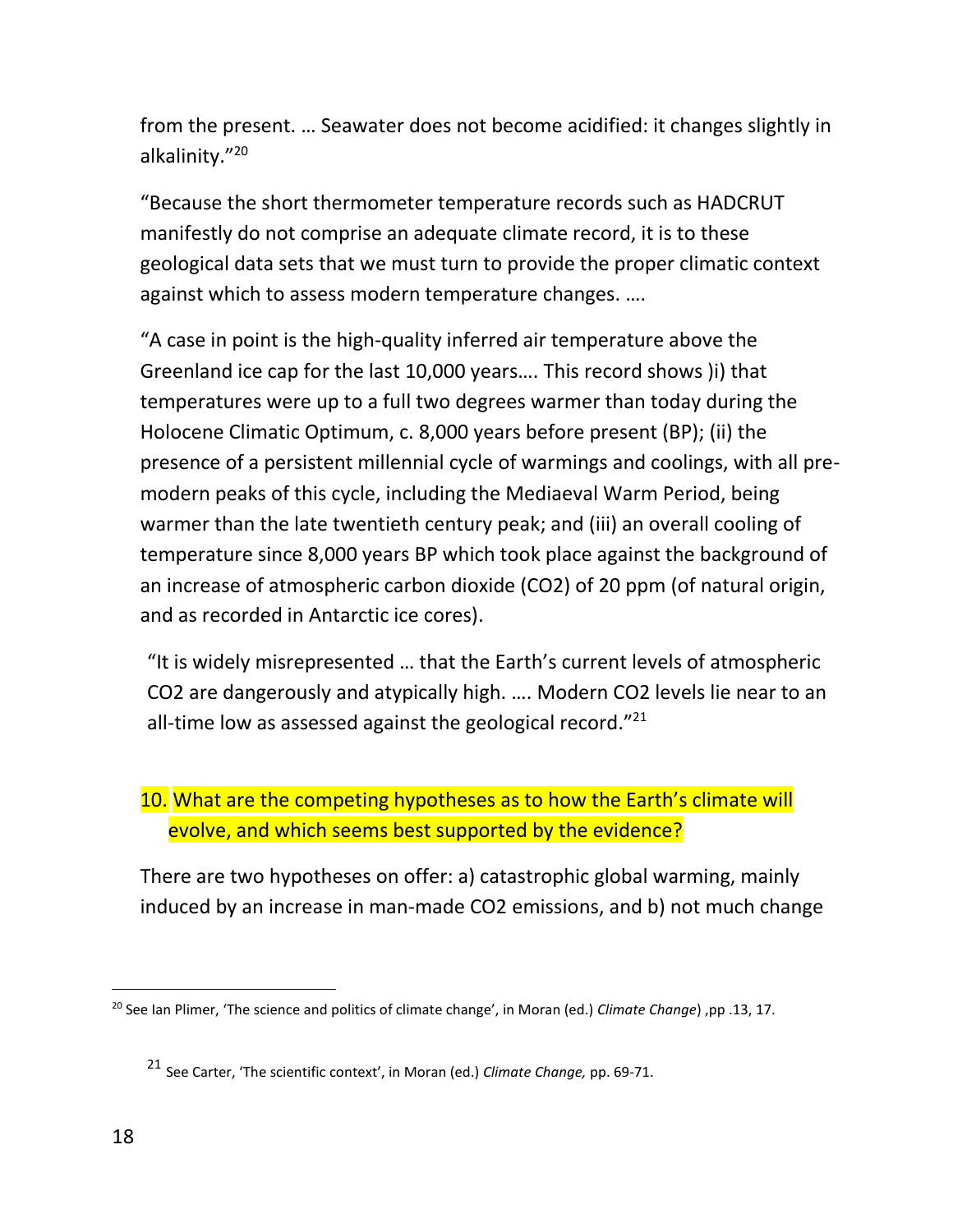from the present. … Seawater does not become acidified: it changes slightly in alkalinity." 20

"Because the short thermometer temperature records such as HADCRUT manifestly do not comprise an adequate climate record, it is to these geological data sets that we must turn to provide the proper climatic context against which to assess modern temperature changes. ….

"A case in point is the high-quality inferred air temperature above the Greenland ice cap for the last 10,000 years…. This record shows )i) that temperatures were up to a full two degrees warmer than today during the Holocene Climatic Optimum, c. 8,000 years before present (BP); (ii) the presence of a persistent millennial cycle of warmings and coolings, with all premodern peaks of this cycle, including the Mediaeval Warm Period, being warmer than the late twentieth century peak; and (iii) an overall cooling of temperature since 8,000 years BP which took place against the background of an increase of atmospheric carbon dioxide (CO2) of 20 ppm (of natural origin, and as recorded in Antarctic ice cores).

"It is widely misrepresented … that the Earth's current levels of atmospheric CO2 are dangerously and atypically high. …. Modern CO2 levels lie near to an all-time low as assessed against the geological record."<sup>21</sup>

## 10. What are the competing hypotheses as to how the Earth's climate will evolve, and which seems best supported by the evidence?

There are two hypotheses on offer: a) catastrophic global warming, mainly induced by an increase in man-made CO2 emissions, and b) not much change

 $\ddot{ }$ 

<sup>20</sup> See Ian Plimer, 'The science and politics of climate change', in Moran (ed.) *Climate Change*) ,pp .13, 17.

<sup>21</sup> See Carter, 'The scientific context', in Moran (ed.) *Climate Change,* pp. 69-71.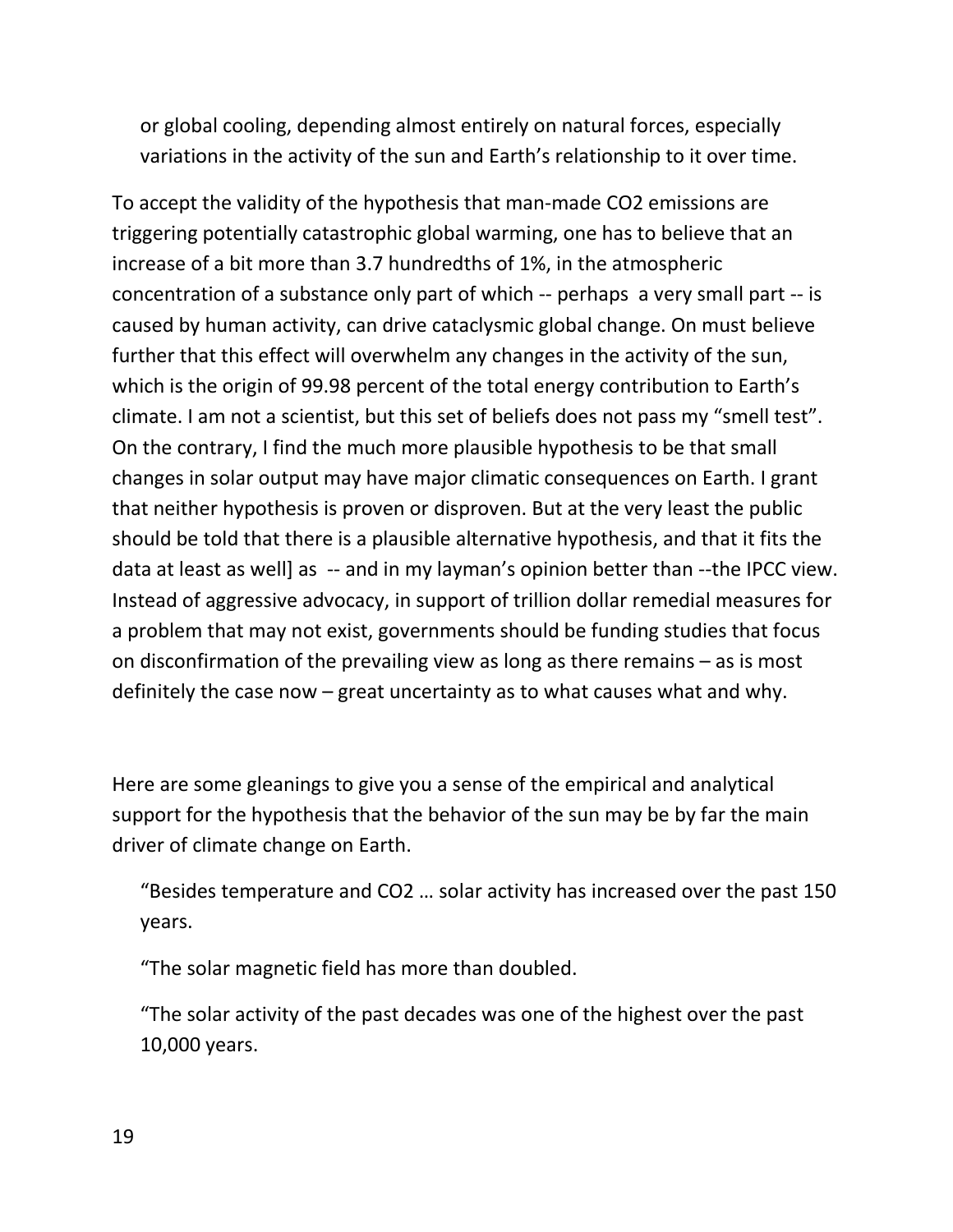or global cooling, depending almost entirely on natural forces, especially variations in the activity of the sun and Earth's relationship to it over time.

To accept the validity of the hypothesis that man-made CO2 emissions are triggering potentially catastrophic global warming, one has to believe that an increase of a bit more than 3.7 hundredths of 1%, in the atmospheric concentration of a substance only part of which -- perhaps a very small part -- is caused by human activity, can drive cataclysmic global change. On must believe further that this effect will overwhelm any changes in the activity of the sun, which is the origin of 99.98 percent of the total energy contribution to Earth's climate. I am not a scientist, but this set of beliefs does not pass my "smell test". On the contrary, I find the much more plausible hypothesis to be that small changes in solar output may have major climatic consequences on Earth. I grant that neither hypothesis is proven or disproven. But at the very least the public should be told that there is a plausible alternative hypothesis, and that it fits the data at least as well] as -- and in my layman's opinion better than --the IPCC view. Instead of aggressive advocacy, in support of trillion dollar remedial measures for a problem that may not exist, governments should be funding studies that focus on disconfirmation of the prevailing view as long as there remains – as is most definitely the case now – great uncertainty as to what causes what and why.

Here are some gleanings to give you a sense of the empirical and analytical support for the hypothesis that the behavior of the sun may be by far the main driver of climate change on Earth.

"Besides temperature and CO2 … solar activity has increased over the past 150 years.

"The solar magnetic field has more than doubled.

"The solar activity of the past decades was one of the highest over the past 10,000 years.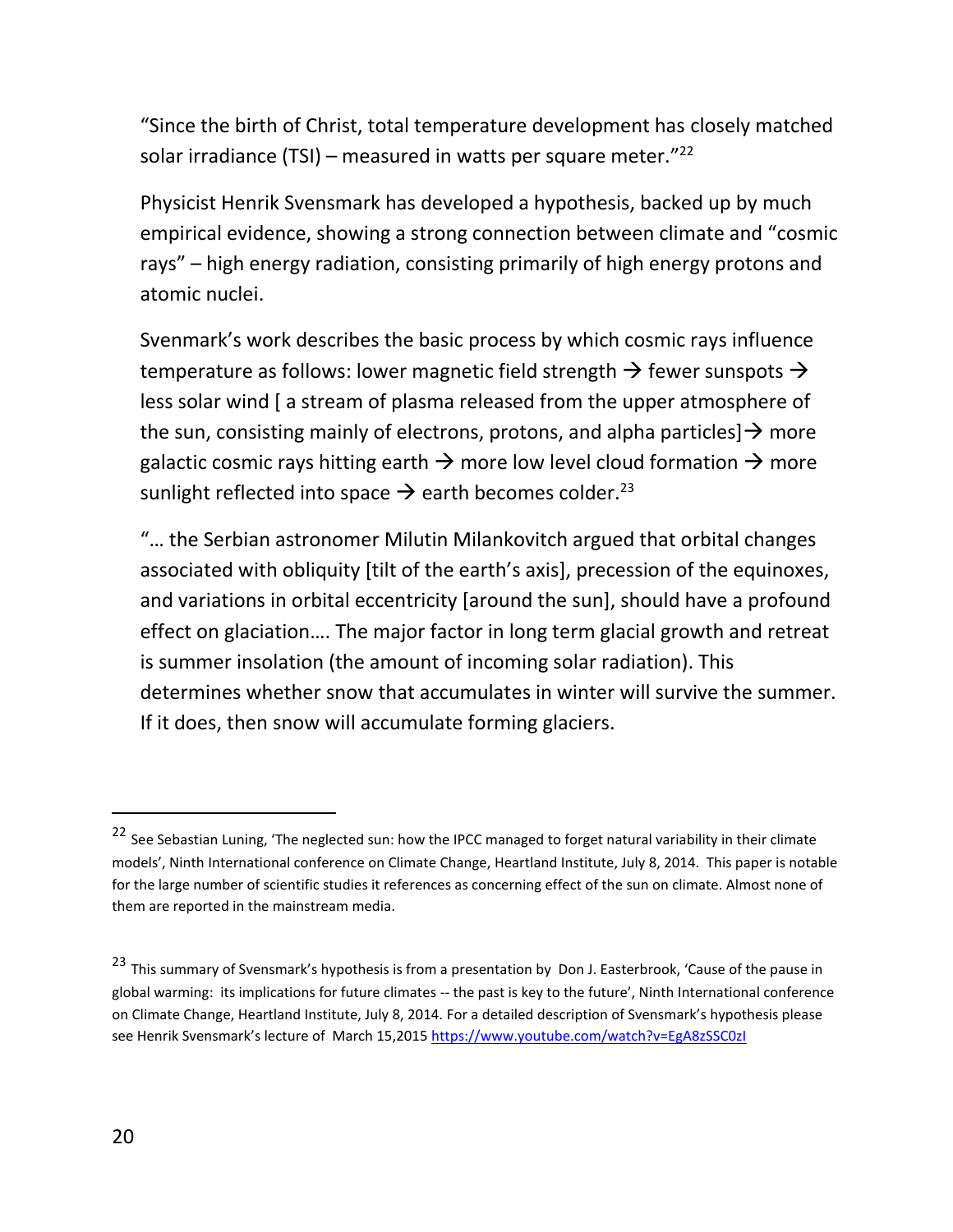"Since the birth of Christ, total temperature development has closely matched solar irradiance (TSI) – measured in watts per square meter."<sup>22</sup>

Physicist Henrik Svensmark has developed a hypothesis, backed up by much empirical evidence, showing a strong connection between climate and "cosmic rays" – high energy radiation, consisting primarily of high energy protons and atomic nuclei.

Svenmark's work describes the basic process by which cosmic rays influence temperature as follows: lower magnetic field strength  $\rightarrow$  fewer sunspots  $\rightarrow$ less solar wind [ a stream of plasma released from the upper atmosphere of the sun, consisting mainly of electrons, protons, and alpha particles  $\rightarrow$  more galactic cosmic rays hitting earth  $\rightarrow$  more low level cloud formation  $\rightarrow$  more sunlight reflected into space  $\rightarrow$  earth becomes colder.<sup>23</sup>

"… the Serbian astronomer Milutin Milankovitch argued that orbital changes associated with obliquity [tilt of the earth's axis], precession of the equinoxes, and variations in orbital eccentricity [around the sun], should have a profound effect on glaciation…. The major factor in long term glacial growth and retreat is summer insolation (the amount of incoming solar radiation). This determines whether snow that accumulates in winter will survive the summer. If it does, then snow will accumulate forming glaciers.

<sup>&</sup>lt;sup>22</sup> See Sebastian Luning, 'The neglected sun: how the IPCC managed to forget natural variability in their climate models', Ninth International conference on Climate Change, Heartland Institute, July 8, 2014. This paper is notable for the large number of scientific studies it references as concerning effect of the sun on climate. Almost none of them are reported in the mainstream media.

<sup>&</sup>lt;sup>23</sup> This summary of Svensmark's hypothesis is from a presentation by Don J. Easterbrook, 'Cause of the pause in global warming: its implications for future climates -- the past is key to the future', Ninth International conference on Climate Change, Heartland Institute, July 8, 2014. For a detailed description of Svensmark's hypothesis please see Henrik Svensmark's lecture of March 15,2015<https://www.youtube.com/watch?v=EgA8zSSC0zI>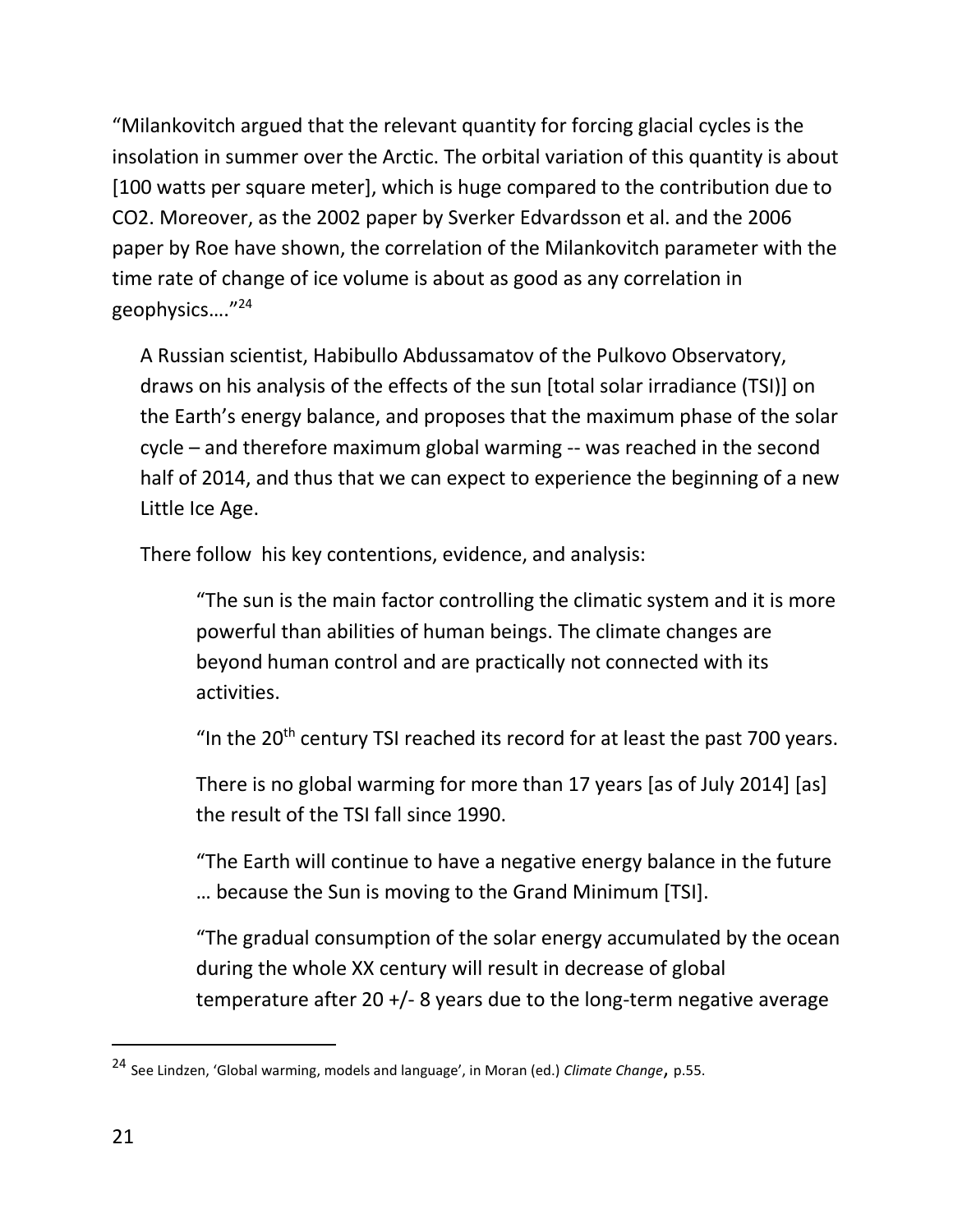"Milankovitch argued that the relevant quantity for forcing glacial cycles is the insolation in summer over the Arctic. The orbital variation of this quantity is about [100 watts per square meter], which is huge compared to the contribution due to CO2. Moreover, as the 2002 paper by Sverker Edvardsson et al. and the 2006 paper by Roe have shown, the correlation of the Milankovitch parameter with the time rate of change of ice volume is about as good as any correlation in geophysics…." 24

A Russian scientist, Habibullo Abdussamatov of the Pulkovo Observatory, draws on his analysis of the effects of the sun [total solar irradiance (TSI)] on the Earth's energy balance, and proposes that the maximum phase of the solar cycle – and therefore maximum global warming -- was reached in the second half of 2014, and thus that we can expect to experience the beginning of a new Little Ice Age.

There follow his key contentions, evidence, and analysis:

"The sun is the main factor controlling the climatic system and it is more powerful than abilities of human beings. The climate changes are beyond human control and are practically not connected with its activities.

"In the  $20<sup>th</sup>$  century TSI reached its record for at least the past 700 years.

There is no global warming for more than 17 years [as of July 2014] [as] the result of the TSI fall since 1990.

"The Earth will continue to have a negative energy balance in the future … because the Sun is moving to the Grand Minimum [TSI].

"The gradual consumption of the solar energy accumulated by the ocean during the whole XX century will result in decrease of global temperature after 20 +/- 8 years due to the long-term negative average

 $\ddot{ }$ 

<sup>24</sup> See Lindzen, 'Global warming, models and language', in Moran (ed.) *Climate Change*, p.55.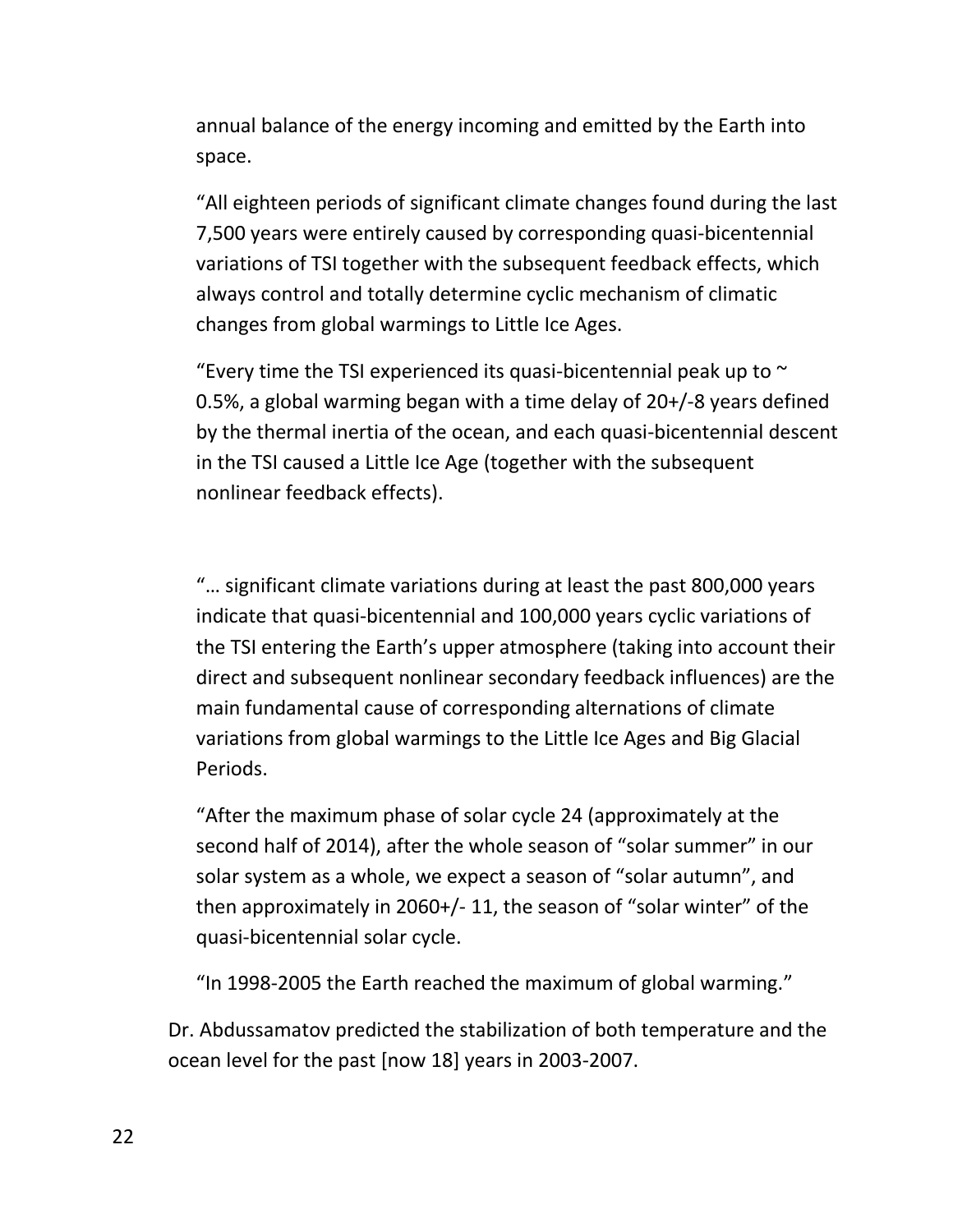annual balance of the energy incoming and emitted by the Earth into space.

"All eighteen periods of significant climate changes found during the last 7,500 years were entirely caused by corresponding quasi-bicentennial variations of TSI together with the subsequent feedback effects, which always control and totally determine cyclic mechanism of climatic changes from global warmings to Little Ice Ages.

"Every time the TSI experienced its quasi-bicentennial peak up to  $\sim$ 0.5%, a global warming began with a time delay of 20+/-8 years defined by the thermal inertia of the ocean, and each quasi-bicentennial descent in the TSI caused a Little Ice Age (together with the subsequent nonlinear feedback effects).

"… significant climate variations during at least the past 800,000 years indicate that quasi-bicentennial and 100,000 years cyclic variations of the TSI entering the Earth's upper atmosphere (taking into account their direct and subsequent nonlinear secondary feedback influences) are the main fundamental cause of corresponding alternations of climate variations from global warmings to the Little Ice Ages and Big Glacial Periods.

"After the maximum phase of solar cycle 24 (approximately at the second half of 2014), after the whole season of "solar summer" in our solar system as a whole, we expect a season of "solar autumn", and then approximately in 2060+/- 11, the season of "solar winter" of the quasi-bicentennial solar cycle.

"In 1998-2005 the Earth reached the maximum of global warming."

Dr. Abdussamatov predicted the stabilization of both temperature and the ocean level for the past [now 18] years in 2003-2007.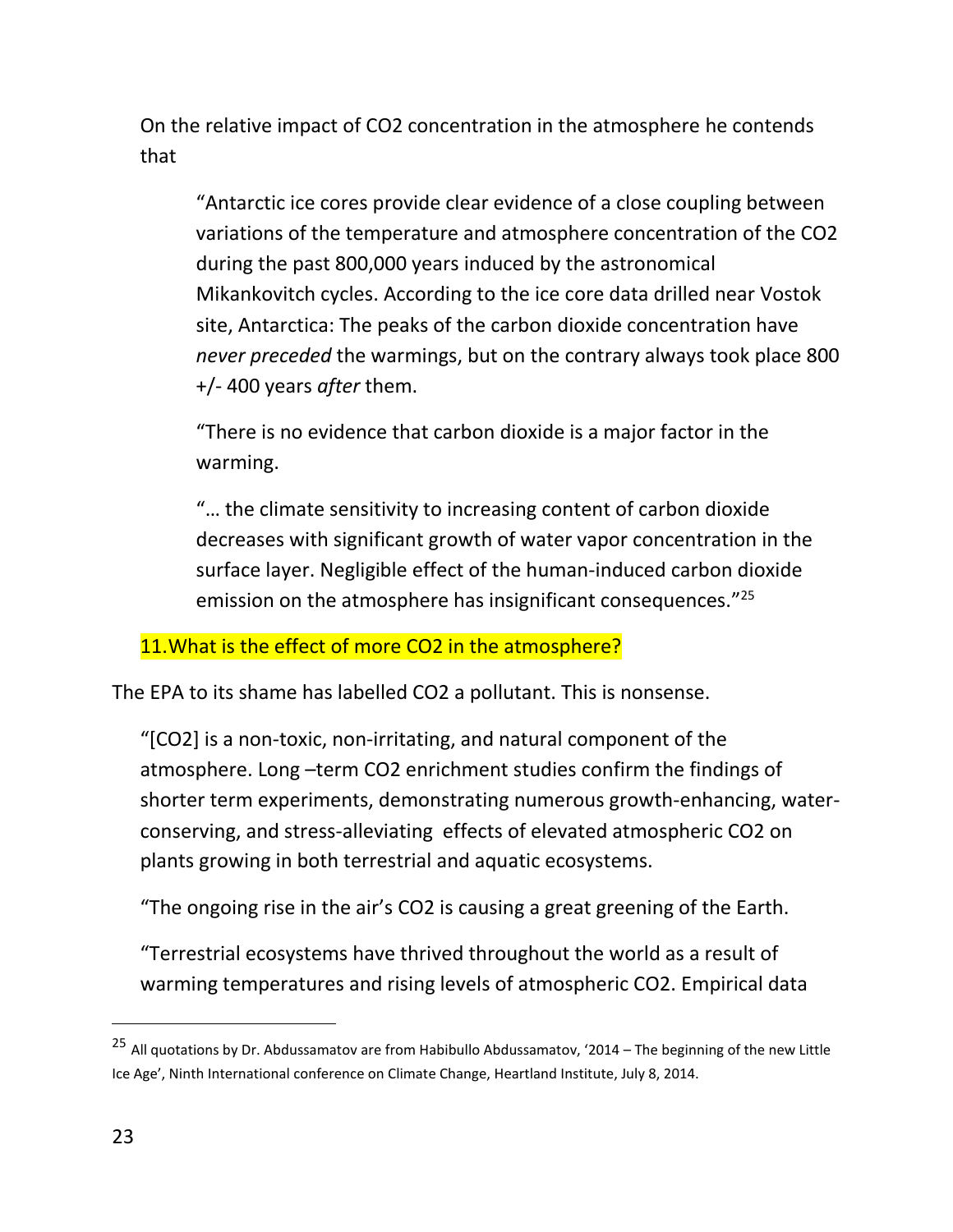On the relative impact of CO2 concentration in the atmosphere he contends that

"Antarctic ice cores provide clear evidence of a close coupling between variations of the temperature and atmosphere concentration of the CO2 during the past 800,000 years induced by the astronomical Mikankovitch cycles. According to the ice core data drilled near Vostok site, Antarctica: The peaks of the carbon dioxide concentration have *never preceded* the warmings, but on the contrary always took place 800 +/- 400 years *after* them.

"There is no evidence that carbon dioxide is a major factor in the warming.

"… the climate sensitivity to increasing content of carbon dioxide decreases with significant growth of water vapor concentration in the surface layer. Negligible effect of the human-induced carbon dioxide emission on the atmosphere has insignificant consequences."<sup>25</sup>

11. What is the effect of more CO2 in the atmosphere?

The EPA to its shame has labelled CO2 a pollutant. This is nonsense.

"[CO2] is a non-toxic, non-irritating, and natural component of the atmosphere. Long –term CO2 enrichment studies confirm the findings of shorter term experiments, demonstrating numerous growth-enhancing, waterconserving, and stress-alleviating effects of elevated atmospheric CO2 on plants growing in both terrestrial and aquatic ecosystems.

"The ongoing rise in the air's CO2 is causing a great greening of the Earth.

"Terrestrial ecosystems have thrived throughout the world as a result of warming temperatures and rising levels of atmospheric CO2. Empirical data

<sup>&</sup>lt;sup>25</sup> All quotations by Dr. Abdussamatov are from Habibullo Abdussamatov, '2014 – The beginning of the new Little Ice Age', Ninth International conference on Climate Change, Heartland Institute, July 8, 2014.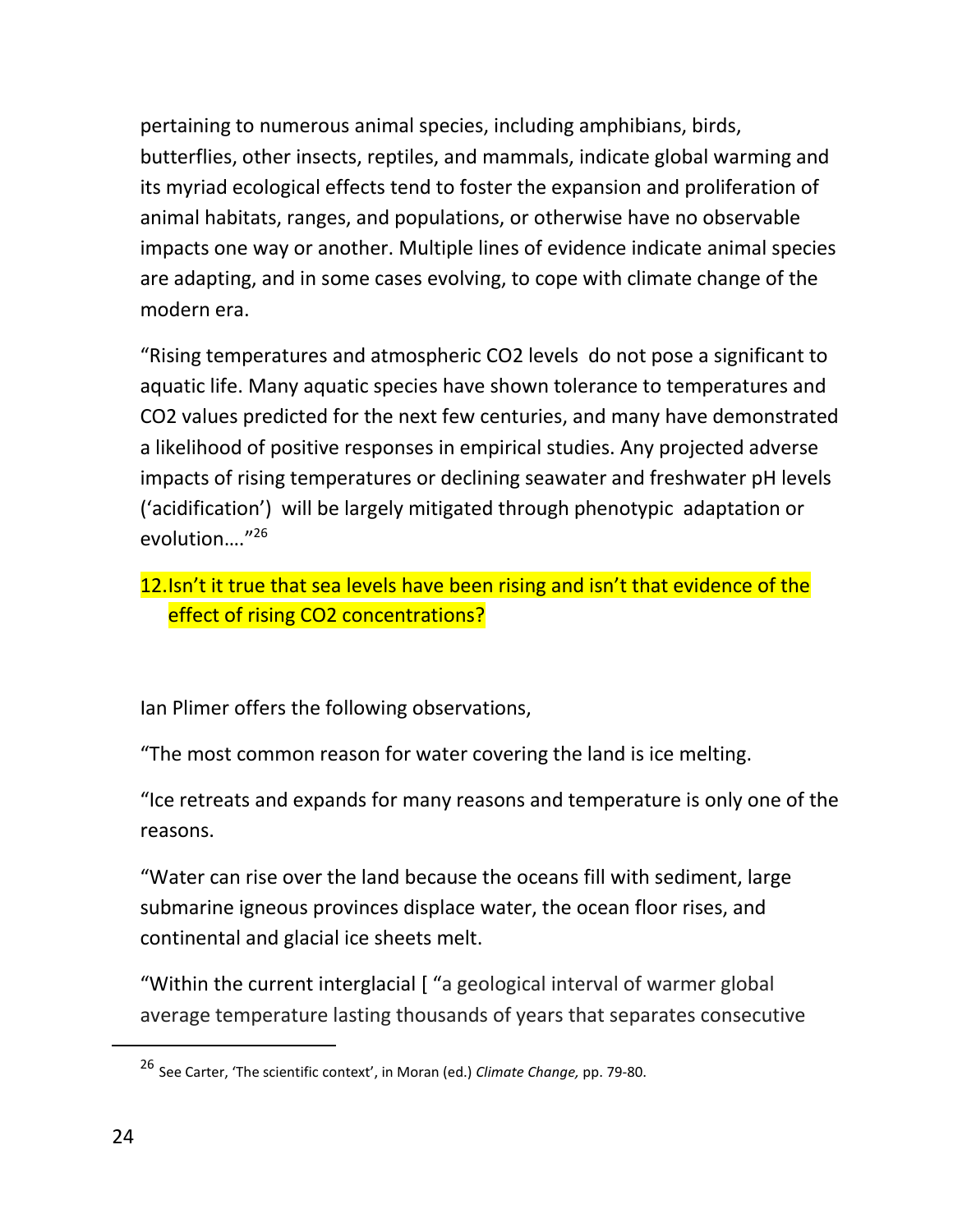pertaining to numerous animal species, including amphibians, birds, butterflies, other insects, reptiles, and mammals, indicate global warming and its myriad ecological effects tend to foster the expansion and proliferation of animal habitats, ranges, and populations, or otherwise have no observable impacts one way or another. Multiple lines of evidence indicate animal species are adapting, and in some cases evolving, to cope with climate change of the modern era.

"Rising temperatures and atmospheric CO2 levels do not pose a significant to aquatic life. Many aquatic species have shown tolerance to temperatures and CO2 values predicted for the next few centuries, and many have demonstrated a likelihood of positive responses in empirical studies. Any projected adverse impacts of rising temperatures or declining seawater and freshwater pH levels ('acidification') will be largely mitigated through phenotypic adaptation or evolution…." 26

#### 12.Isn't it true that sea levels have been rising and isn't that evidence of the effect of rising CO2 concentrations?

Ian Plimer offers the following observations,

"The most common reason for water covering the land is ice melting.

"Ice retreats and expands for many reasons and temperature is only one of the reasons.

"Water can rise over the land because the oceans fill with sediment, large submarine igneous provinces displace water, the ocean floor rises, and continental and glacial ice sheets melt.

"Within the current interglacial [ "a geological interval of warmer global average temperature lasting thousands of years that separates consecutive

<sup>26</sup> See Carter, 'The scientific context', in Moran (ed.) *Climate Change,* pp. 79-80.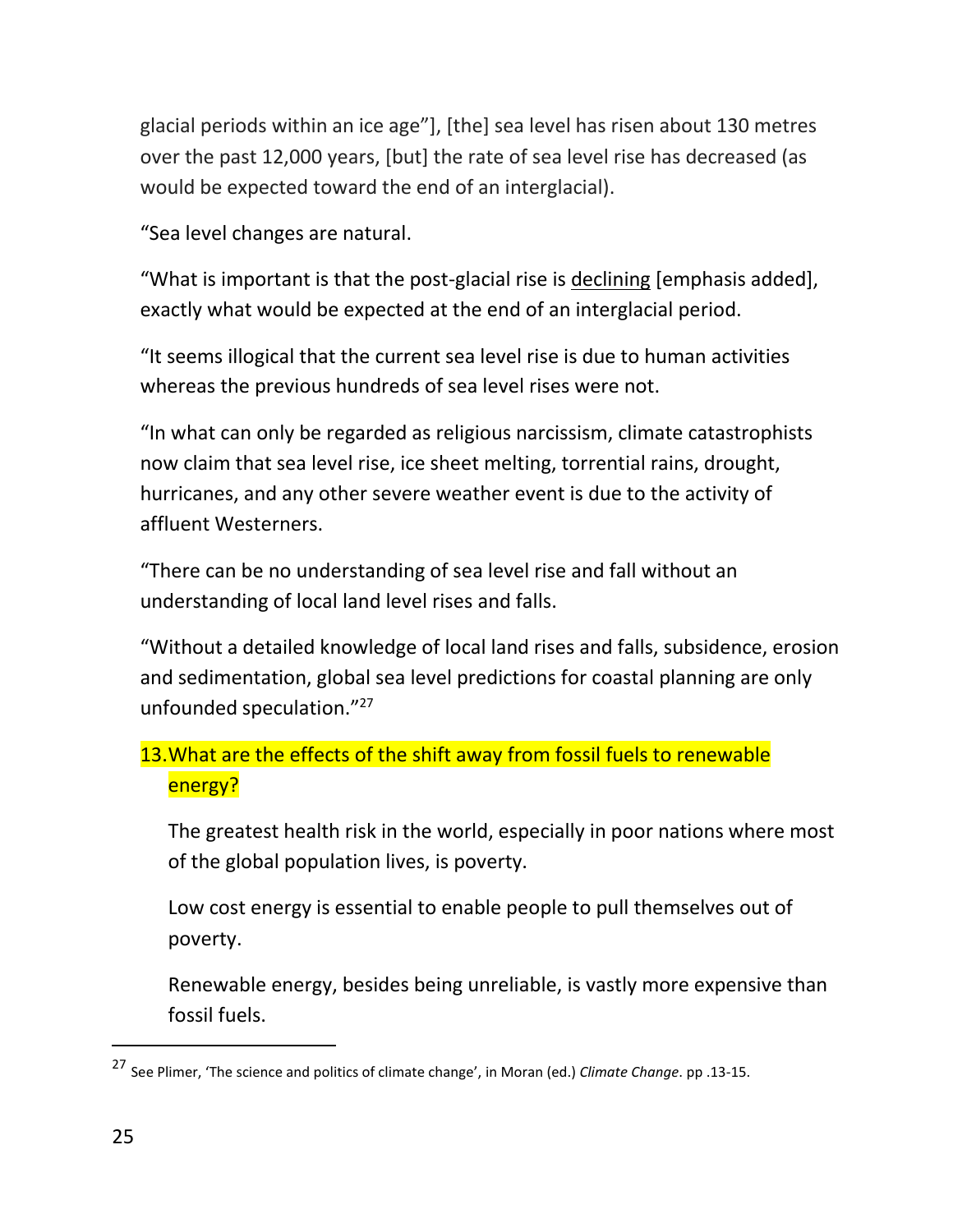glacial periods within an ice age"], [the] sea level has risen about 130 metres over the past 12,000 years, [but] the rate of sea level rise has decreased (as would be expected toward the end of an interglacial).

"Sea level changes are natural.

"What is important is that the post-glacial rise is declining [emphasis added], exactly what would be expected at the end of an interglacial period.

"It seems illogical that the current sea level rise is due to human activities whereas the previous hundreds of sea level rises were not.

"In what can only be regarded as religious narcissism, climate catastrophists now claim that sea level rise, ice sheet melting, torrential rains, drought, hurricanes, and any other severe weather event is due to the activity of affluent Westerners.

"There can be no understanding of sea level rise and fall without an understanding of local land level rises and falls.

"Without a detailed knowledge of local land rises and falls, subsidence, erosion and sedimentation, global sea level predictions for coastal planning are only unfounded speculation." 27

## 13. What are the effects of the shift away from fossil fuels to renewable energy?

The greatest health risk in the world, especially in poor nations where most of the global population lives, is poverty.

Low cost energy is essential to enable people to pull themselves out of poverty.

Renewable energy, besides being unreliable, is vastly more expensive than fossil fuels.

<sup>27</sup> See Plimer, 'The science and politics of climate change', in Moran (ed.) *Climate Change*. pp .13-15.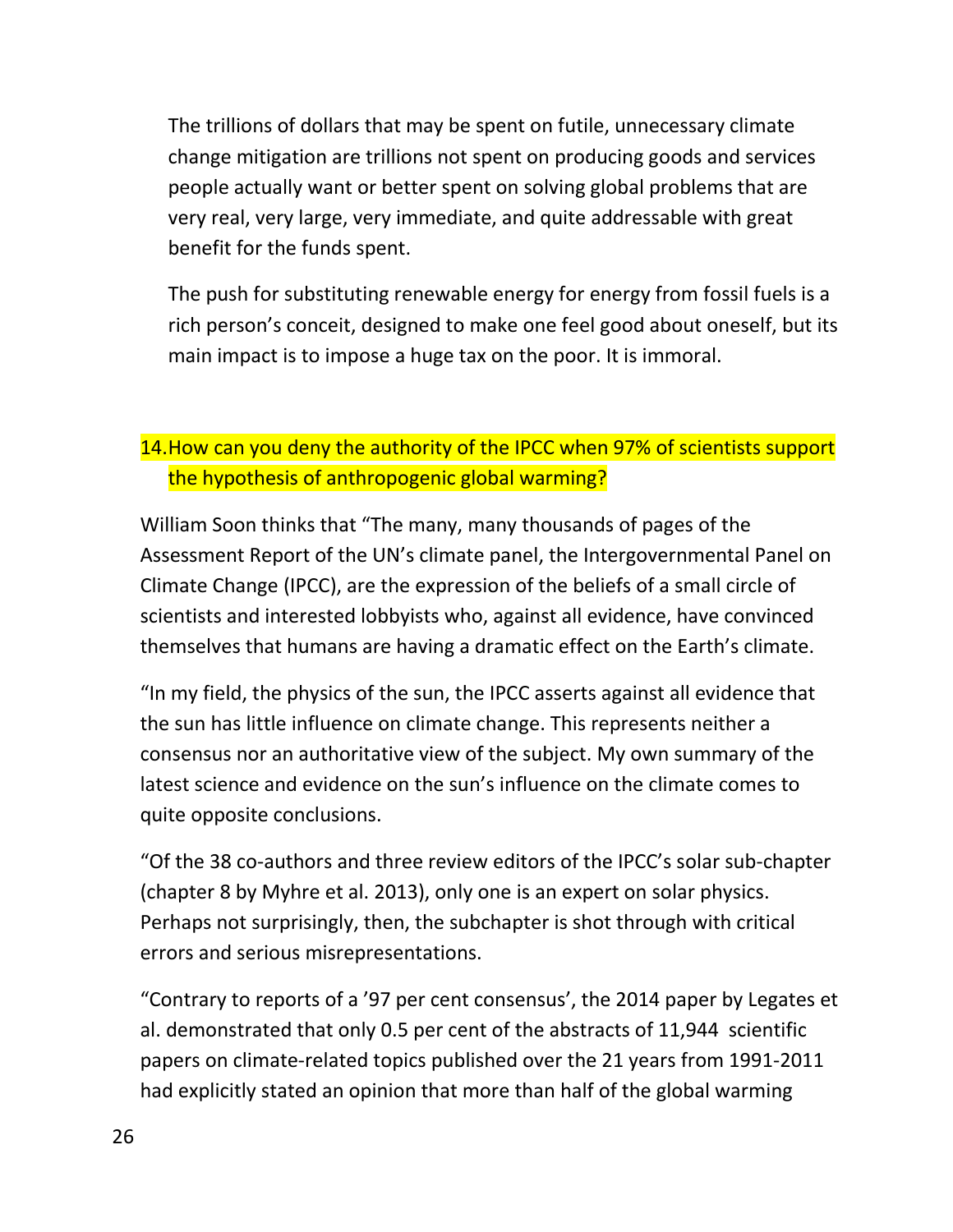The trillions of dollars that may be spent on futile, unnecessary climate change mitigation are trillions not spent on producing goods and services people actually want or better spent on solving global problems that are very real, very large, very immediate, and quite addressable with great benefit for the funds spent.

The push for substituting renewable energy for energy from fossil fuels is a rich person's conceit, designed to make one feel good about oneself, but its main impact is to impose a huge tax on the poor. It is immoral.

## 14. How can you deny the authority of the IPCC when 97% of scientists support the hypothesis of anthropogenic global warming?

William Soon thinks that "The many, many thousands of pages of the Assessment Report of the UN's climate panel, the Intergovernmental Panel on Climate Change (IPCC), are the expression of the beliefs of a small circle of scientists and interested lobbyists who, against all evidence, have convinced themselves that humans are having a dramatic effect on the Earth's climate.

"In my field, the physics of the sun, the IPCC asserts against all evidence that the sun has little influence on climate change. This represents neither a consensus nor an authoritative view of the subject. My own summary of the latest science and evidence on the sun's influence on the climate comes to quite opposite conclusions.

"Of the 38 co-authors and three review editors of the IPCC's solar sub-chapter (chapter 8 by Myhre et al. 2013), only one is an expert on solar physics. Perhaps not surprisingly, then, the subchapter is shot through with critical errors and serious misrepresentations.

"Contrary to reports of a '97 per cent consensus', the 2014 paper by Legates et al. demonstrated that only 0.5 per cent of the abstracts of 11,944 scientific papers on climate-related topics published over the 21 years from 1991-2011 had explicitly stated an opinion that more than half of the global warming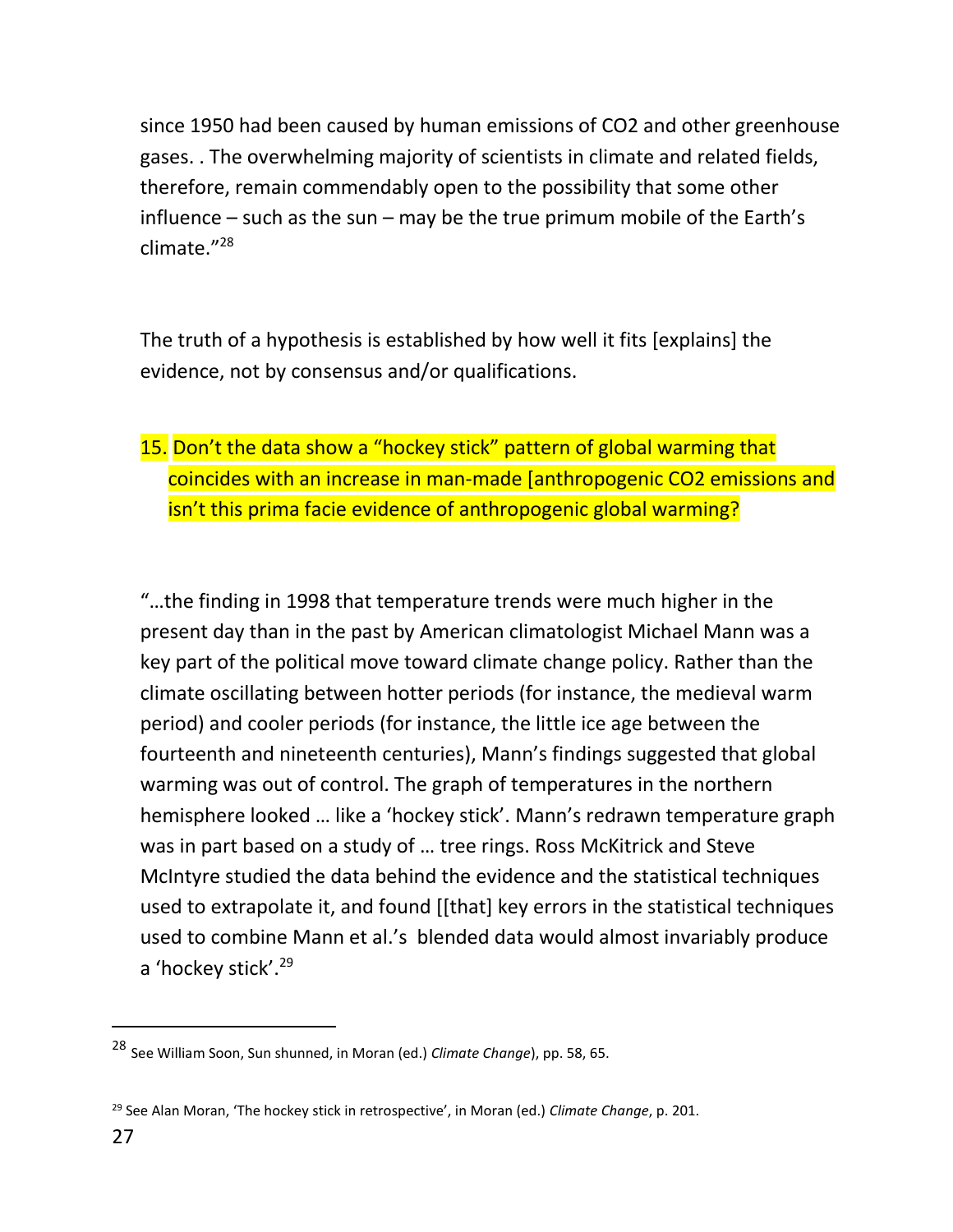since 1950 had been caused by human emissions of CO2 and other greenhouse gases. . The overwhelming majority of scientists in climate and related fields, therefore, remain commendably open to the possibility that some other influence – such as the sun – may be the true primum mobile of the Earth's climate." 28

The truth of a hypothesis is established by how well it fits [explains] the evidence, not by consensus and/or qualifications.

# 15. Don't the data show a "hockey stick" pattern of global warming that coincides with an increase in man-made [anthropogenic CO2 emissions and isn't this prima facie evidence of anthropogenic global warming?

"…the finding in 1998 that temperature trends were much higher in the present day than in the past by American climatologist Michael Mann was a key part of the political move toward climate change policy. Rather than the climate oscillating between hotter periods (for instance, the medieval warm period) and cooler periods (for instance, the little ice age between the fourteenth and nineteenth centuries), Mann's findings suggested that global warming was out of control. The graph of temperatures in the northern hemisphere looked … like a 'hockey stick'. Mann's redrawn temperature graph was in part based on a study of … tree rings. Ross McKitrick and Steve McIntyre studied the data behind the evidence and the statistical techniques used to extrapolate it, and found [[that] key errors in the statistical techniques used to combine Mann et al.'s blended data would almost invariably produce a 'hockey stick'.<sup>29</sup>

 $\ddot{ }$ 

<sup>28</sup> See William Soon, Sun shunned, in Moran (ed.) *Climate Change*), pp. 58, 65.

<sup>29</sup> See Alan Moran, 'The hockey stick in retrospective', in Moran (ed.) *Climate Change*, p. 201.